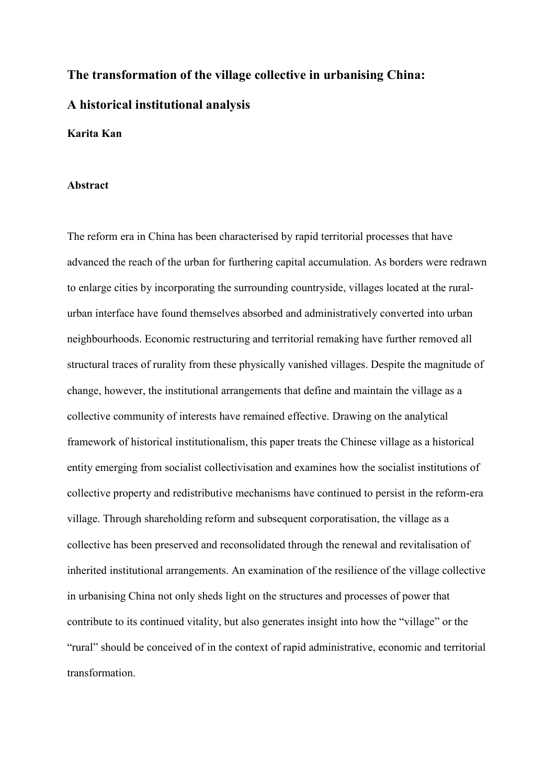# **The transformation of the village collective in urbanising China: A historical institutional analysis**

# **Karita Kan**

#### **Abstract**

The reform era in China has been characterised by rapid territorial processes that have advanced the reach of the urban for furthering capital accumulation. As borders were redrawn to enlarge cities by incorporating the surrounding countryside, villages located at the ruralurban interface have found themselves absorbed and administratively converted into urban neighbourhoods. Economic restructuring and territorial remaking have further removed all structural traces of rurality from these physically vanished villages. Despite the magnitude of change, however, the institutional arrangements that define and maintain the village as a collective community of interests have remained effective. Drawing on the analytical framework of historical institutionalism, this paper treats the Chinese village as a historical entity emerging from socialist collectivisation and examines how the socialist institutions of collective property and redistributive mechanisms have continued to persist in the reform-era village. Through shareholding reform and subsequent corporatisation, the village as a collective has been preserved and reconsolidated through the renewal and revitalisation of inherited institutional arrangements. An examination of the resilience of the village collective in urbanising China not only sheds light on the structures and processes of power that contribute to its continued vitality, but also generates insight into how the "village" or the "rural" should be conceived of in the context of rapid administrative, economic and territorial transformation.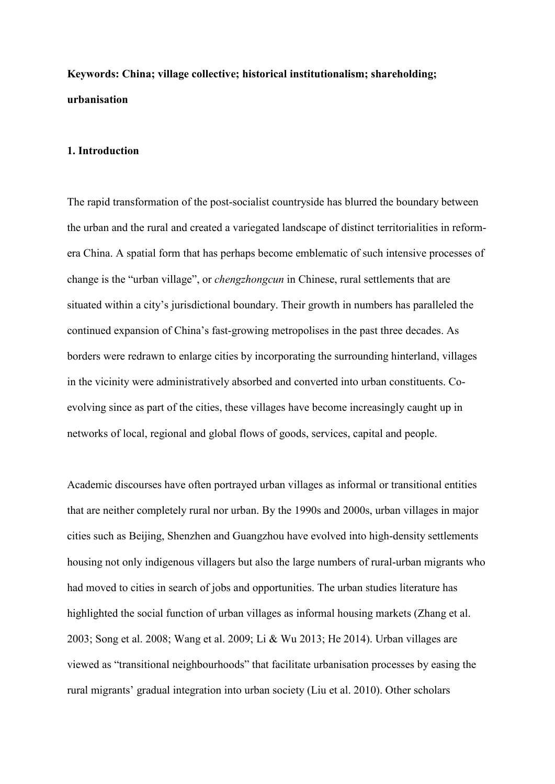# **Keywords: China; village collective; historical institutionalism; shareholding; urbanisation**

# **1. Introduction**

The rapid transformation of the post-socialist countryside has blurred the boundary between the urban and the rural and created a variegated landscape of distinct territorialities in reformera China. A spatial form that has perhaps become emblematic of such intensive processes of change is the "urban village", or *chengzhongcun* in Chinese, rural settlements that are situated within a city's jurisdictional boundary. Their growth in numbers has paralleled the continued expansion of China's fast-growing metropolises in the past three decades. As borders were redrawn to enlarge cities by incorporating the surrounding hinterland, villages in the vicinity were administratively absorbed and converted into urban constituents. Coevolving since as part of the cities, these villages have become increasingly caught up in networks of local, regional and global flows of goods, services, capital and people.

Academic discourses have often portrayed urban villages as informal or transitional entities that are neither completely rural nor urban. By the 1990s and 2000s, urban villages in major cities such as Beijing, Shenzhen and Guangzhou have evolved into high-density settlements housing not only indigenous villagers but also the large numbers of rural-urban migrants who had moved to cities in search of jobs and opportunities. The urban studies literature has highlighted the social function of urban villages as informal housing markets (Zhang et al. 2003; Song et al. 2008; Wang et al. 2009; Li & Wu 2013; He 2014). Urban villages are viewed as "transitional neighbourhoods" that facilitate urbanisation processes by easing the rural migrants' gradual integration into urban society (Liu et al. 2010). Other scholars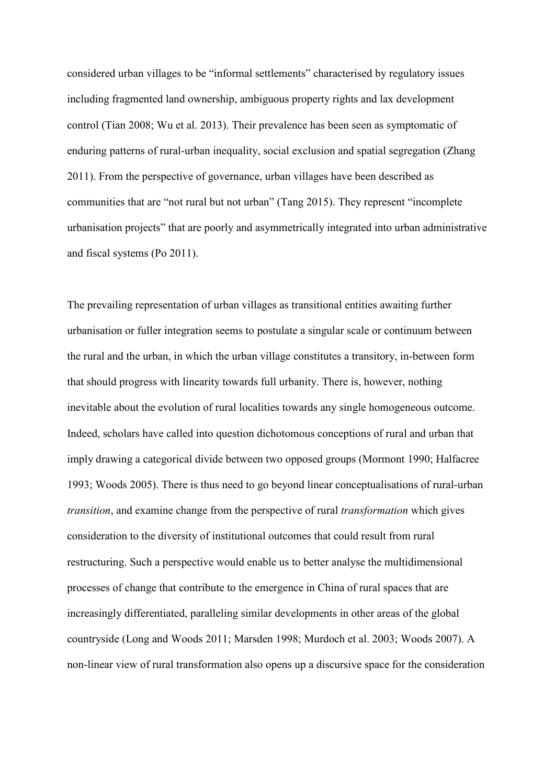considered urban villages to be "informal settlements" characterised by regulatory issues including fragmented land ownership, ambiguous property rights and lax development control (Tian 2008; Wu et al. 2013). Their prevalence has been seen as symptomatic of enduring patterns of rural-urban inequality, social exclusion and spatial segregation (Zhang 2011). From the perspective of governance, urban villages have been described as communities that are "not rural but not urban" (Tang 2015). They represent "incomplete urbanisation projects" that are poorly and asymmetrically integrated into urban administrative and fiscal systems (Po 2011).

The prevailing representation of urban villages as transitional entities awaiting further urbanisation or fuller integration seems to postulate a singular scale or continuum between the rural and the urban, in which the urban village constitutes a transitory, in-between form that should progress with linearity towards full urbanity. There is, however, nothing inevitable about the evolution of rural localities towards any single homogeneous outcome. Indeed, scholars have called into question dichotomous conceptions of rural and urban that imply drawing a categorical divide between two opposed groups (Mormont 1990; Halfacree 1993; Woods 2005). There is thus need to go beyond linear conceptualisations of rural-urban *transition*, and examine change from the perspective of rural *transformation* which gives consideration to the diversity of institutional outcomes that could result from rural restructuring. Such a perspective would enable us to better analyse the multidimensional processes of change that contribute to the emergence in China of rural spaces that are increasingly differentiated, paralleling similar developments in other areas of the global countryside (Long and Woods 2011; Marsden 1998; Murdoch et al. 2003; Woods 2007). A non-linear view of rural transformation also opens up a discursive space for the consideration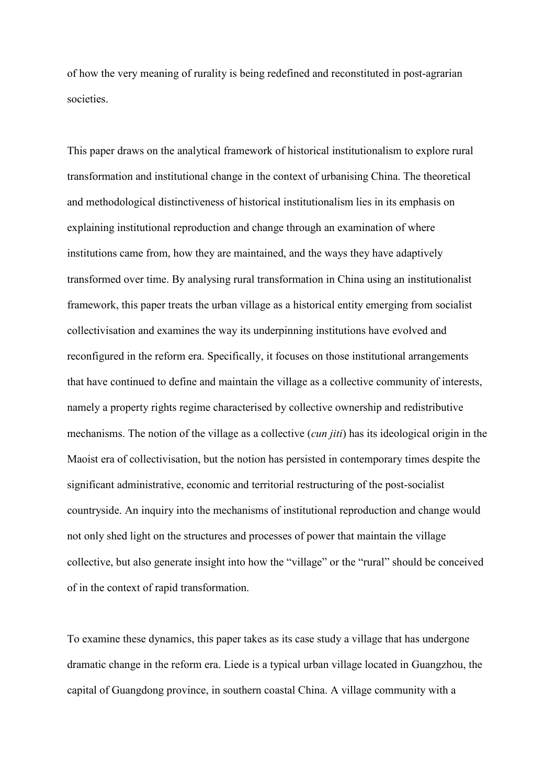of how the very meaning of rurality is being redefined and reconstituted in post-agrarian societies.

This paper draws on the analytical framework of historical institutionalism to explore rural transformation and institutional change in the context of urbanising China. The theoretical and methodological distinctiveness of historical institutionalism lies in its emphasis on explaining institutional reproduction and change through an examination of where institutions came from, how they are maintained, and the ways they have adaptively transformed over time. By analysing rural transformation in China using an institutionalist framework, this paper treats the urban village as a historical entity emerging from socialist collectivisation and examines the way its underpinning institutions have evolved and reconfigured in the reform era. Specifically, it focuses on those institutional arrangements that have continued to define and maintain the village as a collective community of interests, namely a property rights regime characterised by collective ownership and redistributive mechanisms. The notion of the village as a collective (*cun jiti*) has its ideological origin in the Maoist era of collectivisation, but the notion has persisted in contemporary times despite the significant administrative, economic and territorial restructuring of the post-socialist countryside. An inquiry into the mechanisms of institutional reproduction and change would not only shed light on the structures and processes of power that maintain the village collective, but also generate insight into how the "village" or the "rural" should be conceived of in the context of rapid transformation.

To examine these dynamics, this paper takes as its case study a village that has undergone dramatic change in the reform era. Liede is a typical urban village located in Guangzhou, the capital of Guangdong province, in southern coastal China. A village community with a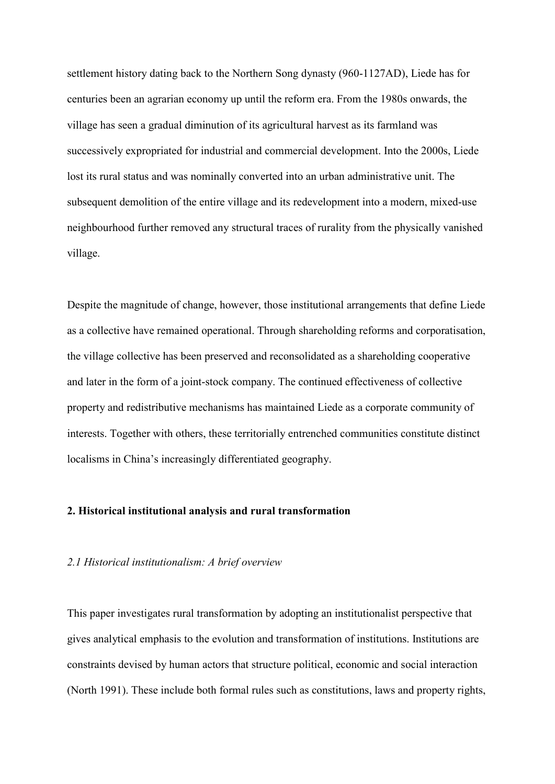settlement history dating back to the Northern Song dynasty (960-1127AD), Liede has for centuries been an agrarian economy up until the reform era. From the 1980s onwards, the village has seen a gradual diminution of its agricultural harvest as its farmland was successively expropriated for industrial and commercial development. Into the 2000s, Liede lost its rural status and was nominally converted into an urban administrative unit. The subsequent demolition of the entire village and its redevelopment into a modern, mixed-use neighbourhood further removed any structural traces of rurality from the physically vanished village.

Despite the magnitude of change, however, those institutional arrangements that define Liede as a collective have remained operational. Through shareholding reforms and corporatisation, the village collective has been preserved and reconsolidated as a shareholding cooperative and later in the form of a joint-stock company. The continued effectiveness of collective property and redistributive mechanisms has maintained Liede as a corporate community of interests. Together with others, these territorially entrenched communities constitute distinct localisms in China's increasingly differentiated geography.

# **2. Historical institutional analysis and rural transformation**

#### *2.1 Historical institutionalism: A brief overview*

This paper investigates rural transformation by adopting an institutionalist perspective that gives analytical emphasis to the evolution and transformation of institutions. Institutions are constraints devised by human actors that structure political, economic and social interaction (North 1991). These include both formal rules such as constitutions, laws and property rights,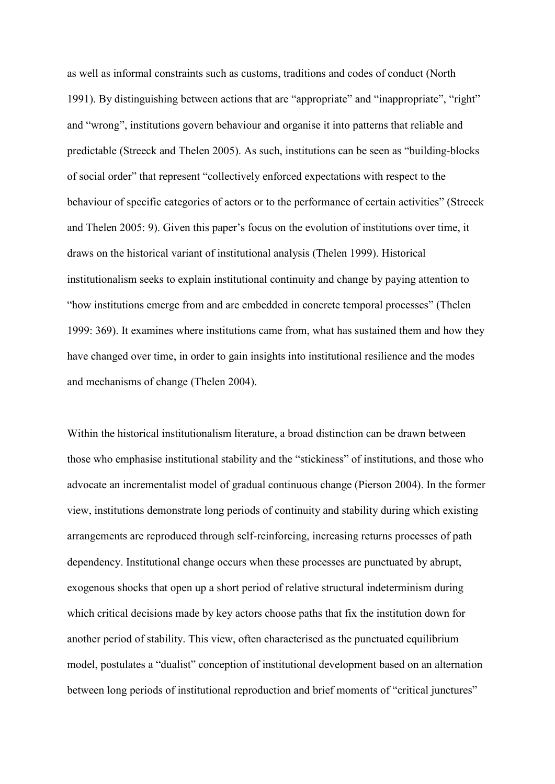as well as informal constraints such as customs, traditions and codes of conduct (North 1991). By distinguishing between actions that are "appropriate" and "inappropriate", "right" and "wrong", institutions govern behaviour and organise it into patterns that reliable and predictable (Streeck and Thelen 2005). As such, institutions can be seen as "building-blocks of social order" that represent "collectively enforced expectations with respect to the behaviour of specific categories of actors or to the performance of certain activities" (Streeck and Thelen 2005: 9). Given this paper's focus on the evolution of institutions over time, it draws on the historical variant of institutional analysis (Thelen 1999). Historical institutionalism seeks to explain institutional continuity and change by paying attention to "how institutions emerge from and are embedded in concrete temporal processes" (Thelen 1999: 369). It examines where institutions came from, what has sustained them and how they have changed over time, in order to gain insights into institutional resilience and the modes and mechanisms of change (Thelen 2004).

Within the historical institutionalism literature, a broad distinction can be drawn between those who emphasise institutional stability and the "stickiness" of institutions, and those who advocate an incrementalist model of gradual continuous change (Pierson 2004). In the former view, institutions demonstrate long periods of continuity and stability during which existing arrangements are reproduced through self-reinforcing, increasing returns processes of path dependency. Institutional change occurs when these processes are punctuated by abrupt, exogenous shocks that open up a short period of relative structural indeterminism during which critical decisions made by key actors choose paths that fix the institution down for another period of stability. This view, often characterised as the punctuated equilibrium model, postulates a "dualist" conception of institutional development based on an alternation between long periods of institutional reproduction and brief moments of "critical junctures"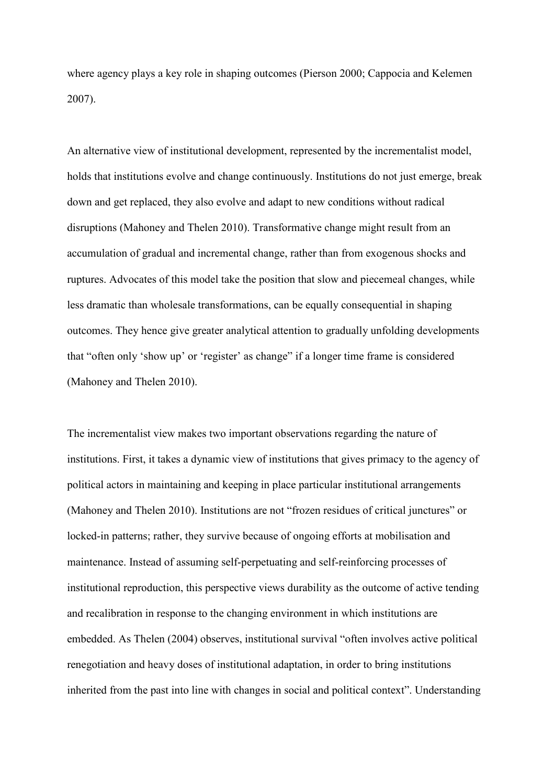where agency plays a key role in shaping outcomes (Pierson 2000; Cappocia and Kelemen 2007).

An alternative view of institutional development, represented by the incrementalist model, holds that institutions evolve and change continuously. Institutions do not just emerge, break down and get replaced, they also evolve and adapt to new conditions without radical disruptions (Mahoney and Thelen 2010). Transformative change might result from an accumulation of gradual and incremental change, rather than from exogenous shocks and ruptures. Advocates of this model take the position that slow and piecemeal changes, while less dramatic than wholesale transformations, can be equally consequential in shaping outcomes. They hence give greater analytical attention to gradually unfolding developments that "often only 'show up' or 'register' as change" if a longer time frame is considered (Mahoney and Thelen 2010).

The incrementalist view makes two important observations regarding the nature of institutions. First, it takes a dynamic view of institutions that gives primacy to the agency of political actors in maintaining and keeping in place particular institutional arrangements (Mahoney and Thelen 2010). Institutions are not "frozen residues of critical junctures" or locked-in patterns; rather, they survive because of ongoing efforts at mobilisation and maintenance. Instead of assuming self-perpetuating and self-reinforcing processes of institutional reproduction, this perspective views durability as the outcome of active tending and recalibration in response to the changing environment in which institutions are embedded. As Thelen (2004) observes, institutional survival "often involves active political renegotiation and heavy doses of institutional adaptation, in order to bring institutions inherited from the past into line with changes in social and political context". Understanding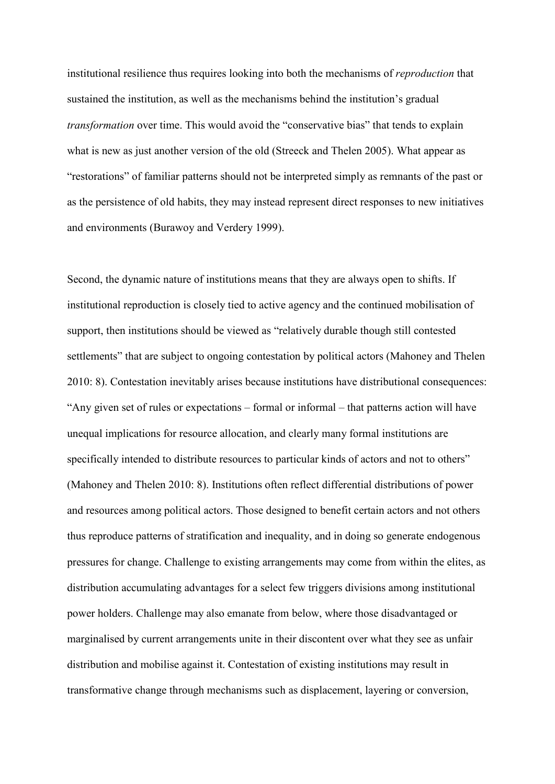institutional resilience thus requires looking into both the mechanisms of *reproduction* that sustained the institution, as well as the mechanisms behind the institution's gradual *transformation* over time. This would avoid the "conservative bias" that tends to explain what is new as just another version of the old (Streeck and Thelen 2005). What appear as "restorations" of familiar patterns should not be interpreted simply as remnants of the past or as the persistence of old habits, they may instead represent direct responses to new initiatives and environments (Burawoy and Verdery 1999).

Second, the dynamic nature of institutions means that they are always open to shifts. If institutional reproduction is closely tied to active agency and the continued mobilisation of support, then institutions should be viewed as "relatively durable though still contested settlements" that are subject to ongoing contestation by political actors (Mahoney and Thelen 2010: 8). Contestation inevitably arises because institutions have distributional consequences: "Any given set of rules or expectations – formal or informal – that patterns action will have unequal implications for resource allocation, and clearly many formal institutions are specifically intended to distribute resources to particular kinds of actors and not to others" (Mahoney and Thelen 2010: 8). Institutions often reflect differential distributions of power and resources among political actors. Those designed to benefit certain actors and not others thus reproduce patterns of stratification and inequality, and in doing so generate endogenous pressures for change. Challenge to existing arrangements may come from within the elites, as distribution accumulating advantages for a select few triggers divisions among institutional power holders. Challenge may also emanate from below, where those disadvantaged or marginalised by current arrangements unite in their discontent over what they see as unfair distribution and mobilise against it. Contestation of existing institutions may result in transformative change through mechanisms such as displacement, layering or conversion,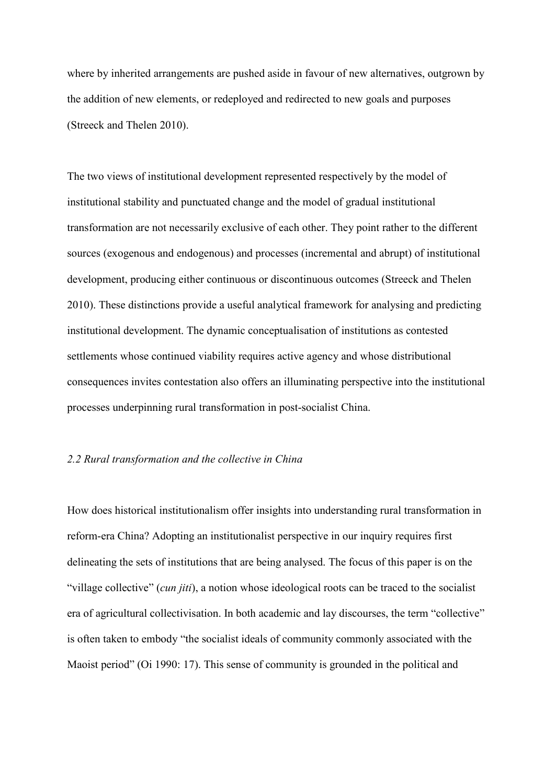where by inherited arrangements are pushed aside in favour of new alternatives, outgrown by the addition of new elements, or redeployed and redirected to new goals and purposes (Streeck and Thelen 2010).

The two views of institutional development represented respectively by the model of institutional stability and punctuated change and the model of gradual institutional transformation are not necessarily exclusive of each other. They point rather to the different sources (exogenous and endogenous) and processes (incremental and abrupt) of institutional development, producing either continuous or discontinuous outcomes (Streeck and Thelen 2010). These distinctions provide a useful analytical framework for analysing and predicting institutional development. The dynamic conceptualisation of institutions as contested settlements whose continued viability requires active agency and whose distributional consequences invites contestation also offers an illuminating perspective into the institutional processes underpinning rural transformation in post-socialist China.

# *2.2 Rural transformation and the collective in China*

How does historical institutionalism offer insights into understanding rural transformation in reform-era China? Adopting an institutionalist perspective in our inquiry requires first delineating the sets of institutions that are being analysed. The focus of this paper is on the "village collective" (*cun jiti*), a notion whose ideological roots can be traced to the socialist era of agricultural collectivisation. In both academic and lay discourses, the term "collective" is often taken to embody "the socialist ideals of community commonly associated with the Maoist period" (Oi 1990: 17). This sense of community is grounded in the political and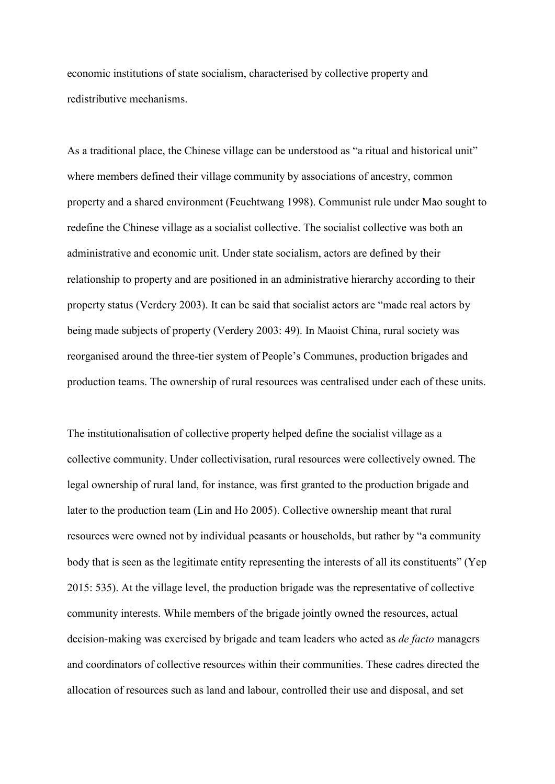economic institutions of state socialism, characterised by collective property and redistributive mechanisms.

As a traditional place, the Chinese village can be understood as "a ritual and historical unit" where members defined their village community by associations of ancestry, common property and a shared environment (Feuchtwang 1998). Communist rule under Mao sought to redefine the Chinese village as a socialist collective. The socialist collective was both an administrative and economic unit. Under state socialism, actors are defined by their relationship to property and are positioned in an administrative hierarchy according to their property status (Verdery 2003). It can be said that socialist actors are "made real actors by being made subjects of property (Verdery 2003: 49). In Maoist China, rural society was reorganised around the three-tier system of People's Communes, production brigades and production teams. The ownership of rural resources was centralised under each of these units.

The institutionalisation of collective property helped define the socialist village as a collective community. Under collectivisation, rural resources were collectively owned. The legal ownership of rural land, for instance, was first granted to the production brigade and later to the production team (Lin and Ho 2005). Collective ownership meant that rural resources were owned not by individual peasants or households, but rather by "a community body that is seen as the legitimate entity representing the interests of all its constituents" (Yep 2015: 535). At the village level, the production brigade was the representative of collective community interests. While members of the brigade jointly owned the resources, actual decision-making was exercised by brigade and team leaders who acted as *de facto* managers and coordinators of collective resources within their communities. These cadres directed the allocation of resources such as land and labour, controlled their use and disposal, and set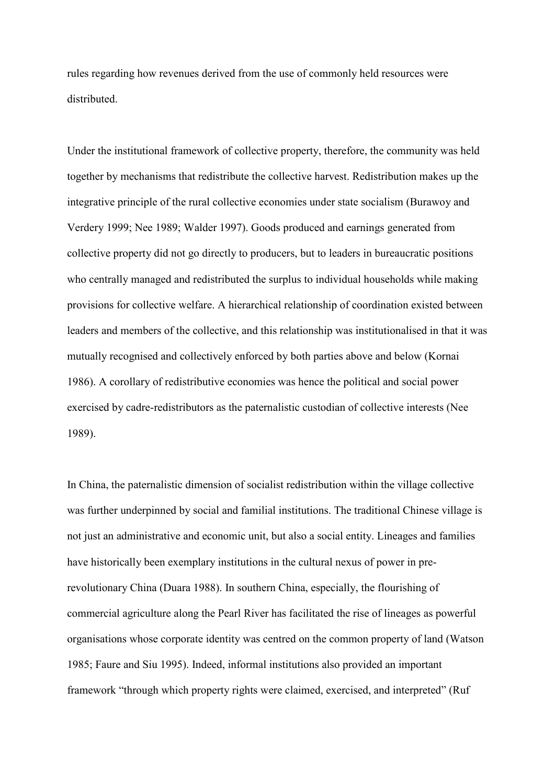rules regarding how revenues derived from the use of commonly held resources were distributed.

Under the institutional framework of collective property, therefore, the community was held together by mechanisms that redistribute the collective harvest. Redistribution makes up the integrative principle of the rural collective economies under state socialism (Burawoy and Verdery 1999; Nee 1989; Walder 1997). Goods produced and earnings generated from collective property did not go directly to producers, but to leaders in bureaucratic positions who centrally managed and redistributed the surplus to individual households while making provisions for collective welfare. A hierarchical relationship of coordination existed between leaders and members of the collective, and this relationship was institutionalised in that it was mutually recognised and collectively enforced by both parties above and below (Kornai 1986). A corollary of redistributive economies was hence the political and social power exercised by cadre-redistributors as the paternalistic custodian of collective interests (Nee 1989).

In China, the paternalistic dimension of socialist redistribution within the village collective was further underpinned by social and familial institutions. The traditional Chinese village is not just an administrative and economic unit, but also a social entity. Lineages and families have historically been exemplary institutions in the cultural nexus of power in prerevolutionary China (Duara 1988). In southern China, especially, the flourishing of commercial agriculture along the Pearl River has facilitated the rise of lineages as powerful organisations whose corporate identity was centred on the common property of land (Watson 1985; Faure and Siu 1995). Indeed, informal institutions also provided an important framework "through which property rights were claimed, exercised, and interpreted" (Ruf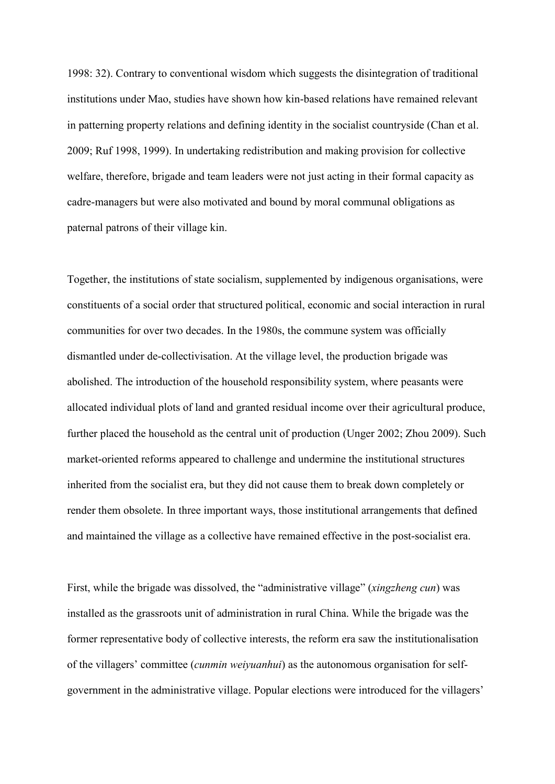1998: 32). Contrary to conventional wisdom which suggests the disintegration of traditional institutions under Mao, studies have shown how kin-based relations have remained relevant in patterning property relations and defining identity in the socialist countryside (Chan et al. 2009; Ruf 1998, 1999). In undertaking redistribution and making provision for collective welfare, therefore, brigade and team leaders were not just acting in their formal capacity as cadre-managers but were also motivated and bound by moral communal obligations as paternal patrons of their village kin.

Together, the institutions of state socialism, supplemented by indigenous organisations, were constituents of a social order that structured political, economic and social interaction in rural communities for over two decades. In the 1980s, the commune system was officially dismantled under de-collectivisation. At the village level, the production brigade was abolished. The introduction of the household responsibility system, where peasants were allocated individual plots of land and granted residual income over their agricultural produce, further placed the household as the central unit of production (Unger 2002; Zhou 2009). Such market-oriented reforms appeared to challenge and undermine the institutional structures inherited from the socialist era, but they did not cause them to break down completely or render them obsolete. In three important ways, those institutional arrangements that defined and maintained the village as a collective have remained effective in the post-socialist era.

First, while the brigade was dissolved, the "administrative village" (*xingzheng cun*) was installed as the grassroots unit of administration in rural China. While the brigade was the former representative body of collective interests, the reform era saw the institutionalisation of the villagers' committee (*cunmin weiyuanhui*) as the autonomous organisation for selfgovernment in the administrative village. Popular elections were introduced for the villagers'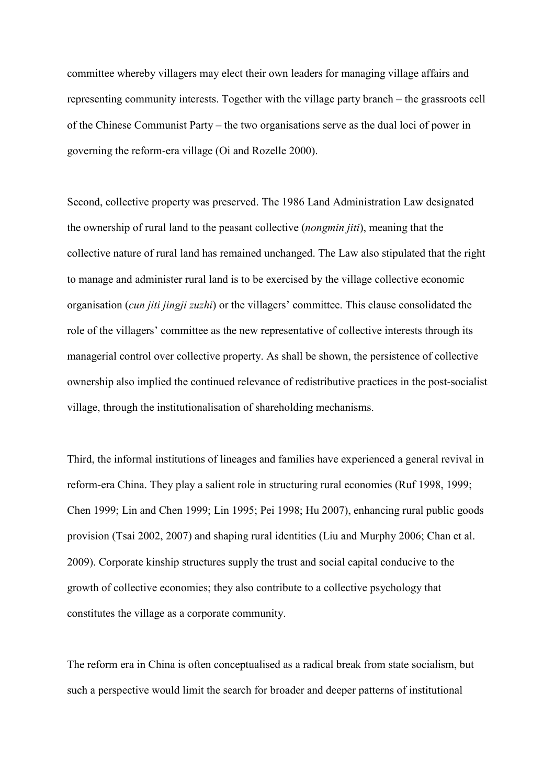committee whereby villagers may elect their own leaders for managing village affairs and representing community interests. Together with the village party branch – the grassroots cell of the Chinese Communist Party – the two organisations serve as the dual loci of power in governing the reform-era village (Oi and Rozelle 2000).

Second, collective property was preserved. The 1986 Land Administration Law designated the ownership of rural land to the peasant collective (*nongmin jiti*), meaning that the collective nature of rural land has remained unchanged. The Law also stipulated that the right to manage and administer rural land is to be exercised by the village collective economic organisation (*cun jiti jingji zuzhi*) or the villagers' committee. This clause consolidated the role of the villagers' committee as the new representative of collective interests through its managerial control over collective property. As shall be shown, the persistence of collective ownership also implied the continued relevance of redistributive practices in the post-socialist village, through the institutionalisation of shareholding mechanisms.

Third, the informal institutions of lineages and families have experienced a general revival in reform-era China. They play a salient role in structuring rural economies (Ruf 1998, 1999; Chen 1999; Lin and Chen 1999; Lin 1995; Pei 1998; Hu 2007), enhancing rural public goods provision (Tsai 2002, 2007) and shaping rural identities (Liu and Murphy 2006; Chan et al. 2009). Corporate kinship structures supply the trust and social capital conducive to the growth of collective economies; they also contribute to a collective psychology that constitutes the village as a corporate community.

The reform era in China is often conceptualised as a radical break from state socialism, but such a perspective would limit the search for broader and deeper patterns of institutional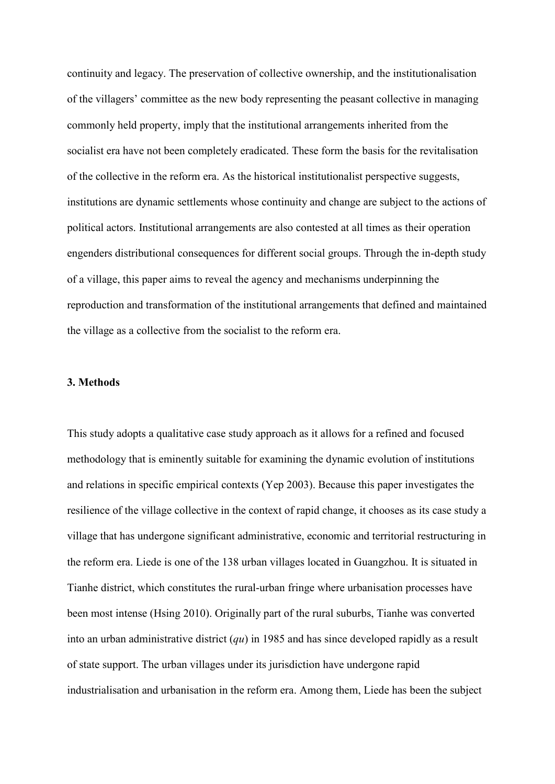continuity and legacy. The preservation of collective ownership, and the institutionalisation of the villagers' committee as the new body representing the peasant collective in managing commonly held property, imply that the institutional arrangements inherited from the socialist era have not been completely eradicated. These form the basis for the revitalisation of the collective in the reform era. As the historical institutionalist perspective suggests, institutions are dynamic settlements whose continuity and change are subject to the actions of political actors. Institutional arrangements are also contested at all times as their operation engenders distributional consequences for different social groups. Through the in-depth study of a village, this paper aims to reveal the agency and mechanisms underpinning the reproduction and transformation of the institutional arrangements that defined and maintained the village as a collective from the socialist to the reform era.

# **3. Methods**

This study adopts a qualitative case study approach as it allows for a refined and focused methodology that is eminently suitable for examining the dynamic evolution of institutions and relations in specific empirical contexts (Yep 2003). Because this paper investigates the resilience of the village collective in the context of rapid change, it chooses as its case study a village that has undergone significant administrative, economic and territorial restructuring in the reform era. Liede is one of the 138 urban villages located in Guangzhou. It is situated in Tianhe district, which constitutes the rural-urban fringe where urbanisation processes have been most intense (Hsing 2010). Originally part of the rural suburbs, Tianhe was converted into an urban administrative district (*qu*) in 1985 and has since developed rapidly as a result of state support. The urban villages under its jurisdiction have undergone rapid industrialisation and urbanisation in the reform era. Among them, Liede has been the subject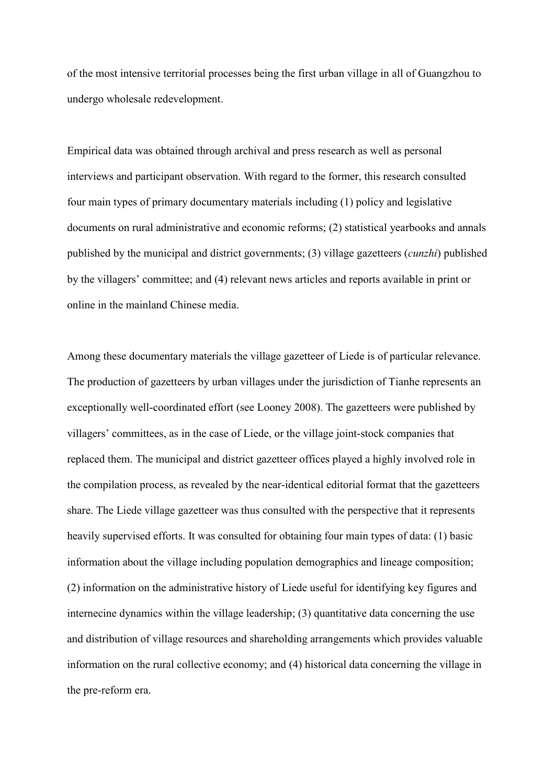of the most intensive territorial processes being the first urban village in all of Guangzhou to undergo wholesale redevelopment.

Empirical data was obtained through archival and press research as well as personal interviews and participant observation. With regard to the former, this research consulted four main types of primary documentary materials including (1) policy and legislative documents on rural administrative and economic reforms; (2) statistical yearbooks and annals published by the municipal and district governments; (3) village gazetteers (*cunzhi*) published by the villagers' committee; and (4) relevant news articles and reports available in print or online in the mainland Chinese media.

Among these documentary materials the village gazetteer of Liede is of particular relevance. The production of gazetteers by urban villages under the jurisdiction of Tianhe represents an exceptionally well-coordinated effort (see Looney 2008). The gazetteers were published by villagers' committees, as in the case of Liede, or the village joint-stock companies that replaced them. The municipal and district gazetteer offices played a highly involved role in the compilation process, as revealed by the near-identical editorial format that the gazetteers share. The Liede village gazetteer was thus consulted with the perspective that it represents heavily supervised efforts. It was consulted for obtaining four main types of data: (1) basic information about the village including population demographics and lineage composition; (2) information on the administrative history of Liede useful for identifying key figures and internecine dynamics within the village leadership; (3) quantitative data concerning the use and distribution of village resources and shareholding arrangements which provides valuable information on the rural collective economy; and (4) historical data concerning the village in the pre-reform era.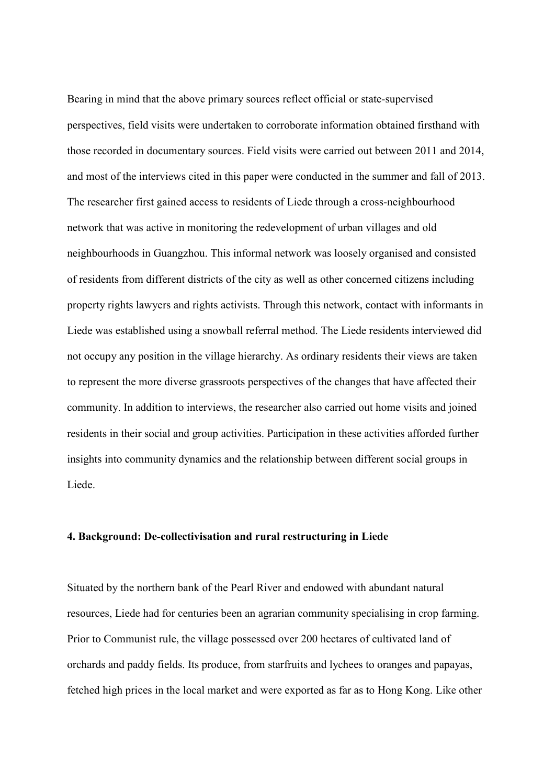Bearing in mind that the above primary sources reflect official or state-supervised perspectives, field visits were undertaken to corroborate information obtained firsthand with those recorded in documentary sources. Field visits were carried out between 2011 and 2014, and most of the interviews cited in this paper were conducted in the summer and fall of 2013. The researcher first gained access to residents of Liede through a cross-neighbourhood network that was active in monitoring the redevelopment of urban villages and old neighbourhoods in Guangzhou. This informal network was loosely organised and consisted of residents from different districts of the city as well as other concerned citizens including property rights lawyers and rights activists. Through this network, contact with informants in Liede was established using a snowball referral method. The Liede residents interviewed did not occupy any position in the village hierarchy. As ordinary residents their views are taken to represent the more diverse grassroots perspectives of the changes that have affected their community. In addition to interviews, the researcher also carried out home visits and joined residents in their social and group activities. Participation in these activities afforded further insights into community dynamics and the relationship between different social groups in Liede.

# **4. Background: De-collectivisation and rural restructuring in Liede**

Situated by the northern bank of the Pearl River and endowed with abundant natural resources, Liede had for centuries been an agrarian community specialising in crop farming. Prior to Communist rule, the village possessed over 200 hectares of cultivated land of orchards and paddy fields. Its produce, from starfruits and lychees to oranges and papayas, fetched high prices in the local market and were exported as far as to Hong Kong. Like other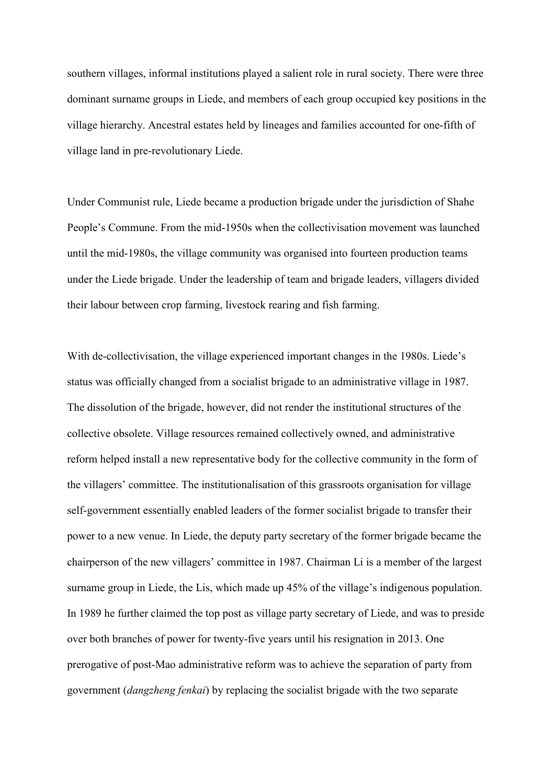southern villages, informal institutions played a salient role in rural society. There were three dominant surname groups in Liede, and members of each group occupied key positions in the village hierarchy. Ancestral estates held by lineages and families accounted for one-fifth of village land in pre-revolutionary Liede.

Under Communist rule, Liede became a production brigade under the jurisdiction of Shahe People's Commune. From the mid-1950s when the collectivisation movement was launched until the mid-1980s, the village community was organised into fourteen production teams under the Liede brigade. Under the leadership of team and brigade leaders, villagers divided their labour between crop farming, livestock rearing and fish farming.

With de-collectivisation, the village experienced important changes in the 1980s. Liede's status was officially changed from a socialist brigade to an administrative village in 1987. The dissolution of the brigade, however, did not render the institutional structures of the collective obsolete. Village resources remained collectively owned, and administrative reform helped install a new representative body for the collective community in the form of the villagers' committee. The institutionalisation of this grassroots organisation for village self-government essentially enabled leaders of the former socialist brigade to transfer their power to a new venue. In Liede, the deputy party secretary of the former brigade became the chairperson of the new villagers' committee in 1987. Chairman Li is a member of the largest surname group in Liede, the Lis, which made up 45% of the village's indigenous population. In 1989 he further claimed the top post as village party secretary of Liede, and was to preside over both branches of power for twenty-five years until his resignation in 2013. One prerogative of post-Mao administrative reform was to achieve the separation of party from government (*dangzheng fenkai*) by replacing the socialist brigade with the two separate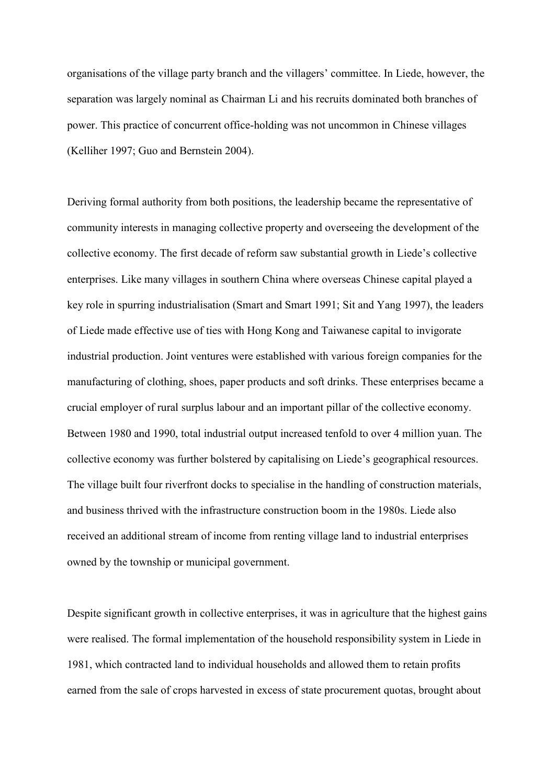organisations of the village party branch and the villagers' committee. In Liede, however, the separation was largely nominal as Chairman Li and his recruits dominated both branches of power. This practice of concurrent office-holding was not uncommon in Chinese villages (Kelliher 1997; Guo and Bernstein 2004).

Deriving formal authority from both positions, the leadership became the representative of community interests in managing collective property and overseeing the development of the collective economy. The first decade of reform saw substantial growth in Liede's collective enterprises. Like many villages in southern China where overseas Chinese capital played a key role in spurring industrialisation (Smart and Smart 1991; Sit and Yang 1997), the leaders of Liede made effective use of ties with Hong Kong and Taiwanese capital to invigorate industrial production. Joint ventures were established with various foreign companies for the manufacturing of clothing, shoes, paper products and soft drinks. These enterprises became a crucial employer of rural surplus labour and an important pillar of the collective economy. Between 1980 and 1990, total industrial output increased tenfold to over 4 million yuan. The collective economy was further bolstered by capitalising on Liede's geographical resources. The village built four riverfront docks to specialise in the handling of construction materials, and business thrived with the infrastructure construction boom in the 1980s. Liede also received an additional stream of income from renting village land to industrial enterprises owned by the township or municipal government.

Despite significant growth in collective enterprises, it was in agriculture that the highest gains were realised. The formal implementation of the household responsibility system in Liede in 1981, which contracted land to individual households and allowed them to retain profits earned from the sale of crops harvested in excess of state procurement quotas, brought about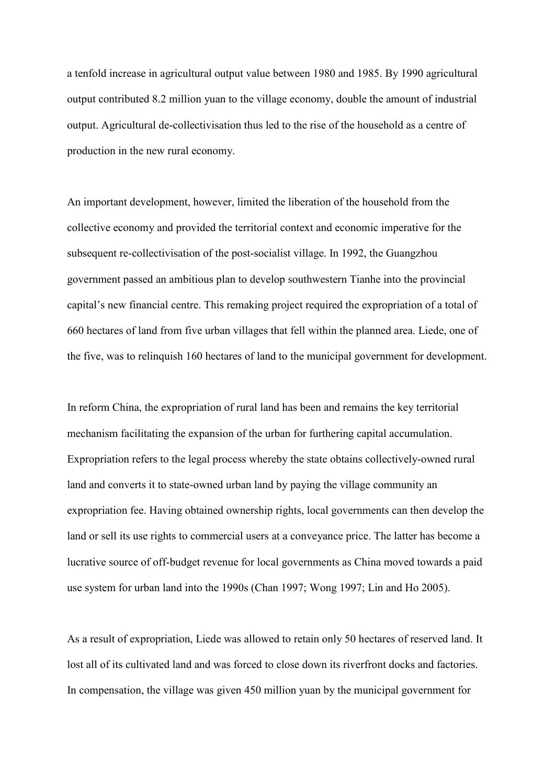a tenfold increase in agricultural output value between 1980 and 1985. By 1990 agricultural output contributed 8.2 million yuan to the village economy, double the amount of industrial output. Agricultural de-collectivisation thus led to the rise of the household as a centre of production in the new rural economy.

An important development, however, limited the liberation of the household from the collective economy and provided the territorial context and economic imperative for the subsequent re-collectivisation of the post-socialist village. In 1992, the Guangzhou government passed an ambitious plan to develop southwestern Tianhe into the provincial capital's new financial centre. This remaking project required the expropriation of a total of 660 hectares of land from five urban villages that fell within the planned area. Liede, one of the five, was to relinquish 160 hectares of land to the municipal government for development.

In reform China, the expropriation of rural land has been and remains the key territorial mechanism facilitating the expansion of the urban for furthering capital accumulation. Expropriation refers to the legal process whereby the state obtains collectively-owned rural land and converts it to state-owned urban land by paying the village community an expropriation fee. Having obtained ownership rights, local governments can then develop the land or sell its use rights to commercial users at a conveyance price. The latter has become a lucrative source of off-budget revenue for local governments as China moved towards a paid use system for urban land into the 1990s (Chan 1997; Wong 1997; Lin and Ho 2005).

As a result of expropriation, Liede was allowed to retain only 50 hectares of reserved land. It lost all of its cultivated land and was forced to close down its riverfront docks and factories. In compensation, the village was given 450 million yuan by the municipal government for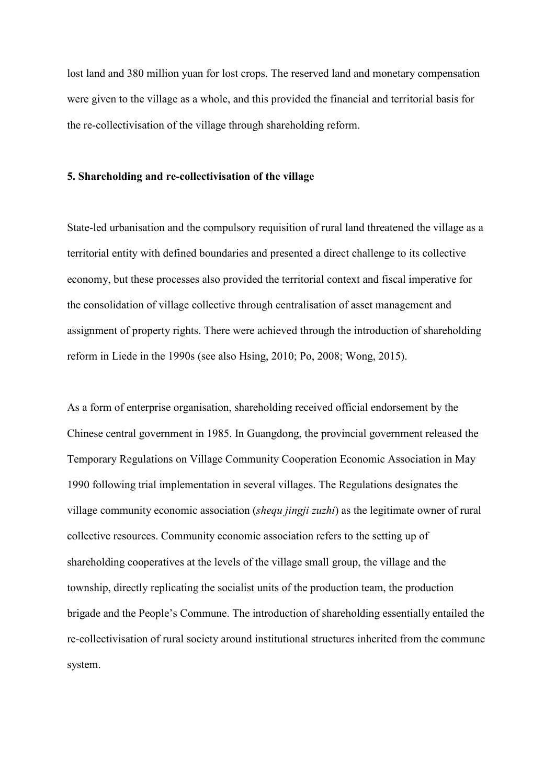lost land and 380 million yuan for lost crops. The reserved land and monetary compensation were given to the village as a whole, and this provided the financial and territorial basis for the re-collectivisation of the village through shareholding reform.

#### **5. Shareholding and re-collectivisation of the village**

State-led urbanisation and the compulsory requisition of rural land threatened the village as a territorial entity with defined boundaries and presented a direct challenge to its collective economy, but these processes also provided the territorial context and fiscal imperative for the consolidation of village collective through centralisation of asset management and assignment of property rights. There were achieved through the introduction of shareholding reform in Liede in the 1990s (see also Hsing, 2010; Po, 2008; Wong, 2015).

As a form of enterprise organisation, shareholding received official endorsement by the Chinese central government in 1985. In Guangdong, the provincial government released the Temporary Regulations on Village Community Cooperation Economic Association in May 1990 following trial implementation in several villages. The Regulations designates the village community economic association (*shequ jingji zuzhi*) as the legitimate owner of rural collective resources. Community economic association refers to the setting up of shareholding cooperatives at the levels of the village small group, the village and the township, directly replicating the socialist units of the production team, the production brigade and the People's Commune. The introduction of shareholding essentially entailed the re-collectivisation of rural society around institutional structures inherited from the commune system.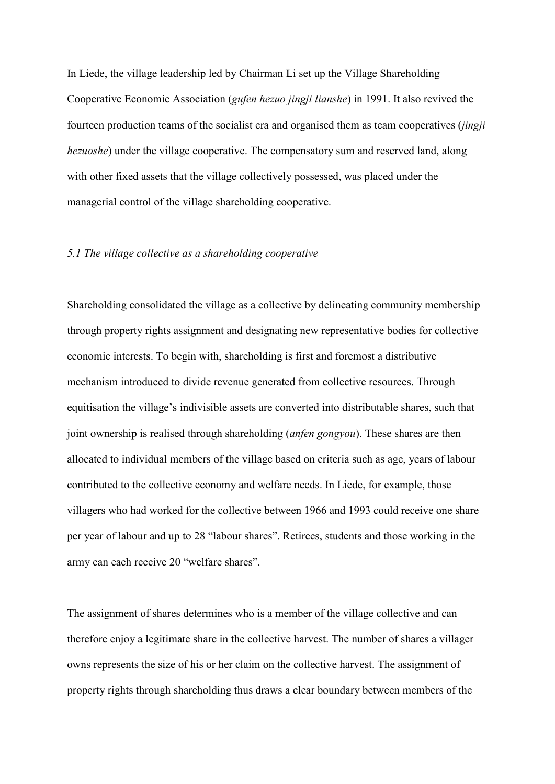In Liede, the village leadership led by Chairman Li set up the Village Shareholding Cooperative Economic Association (*gufen hezuo jingji lianshe*) in 1991. It also revived the fourteen production teams of the socialist era and organised them as team cooperatives (*jingji hezuoshe*) under the village cooperative. The compensatory sum and reserved land, along with other fixed assets that the village collectively possessed, was placed under the managerial control of the village shareholding cooperative.

# *5.1 The village collective as a shareholding cooperative*

Shareholding consolidated the village as a collective by delineating community membership through property rights assignment and designating new representative bodies for collective economic interests. To begin with, shareholding is first and foremost a distributive mechanism introduced to divide revenue generated from collective resources. Through equitisation the village's indivisible assets are converted into distributable shares, such that joint ownership is realised through shareholding (*anfen gongyou*). These shares are then allocated to individual members of the village based on criteria such as age, years of labour contributed to the collective economy and welfare needs. In Liede, for example, those villagers who had worked for the collective between 1966 and 1993 could receive one share per year of labour and up to 28 "labour shares". Retirees, students and those working in the army can each receive 20 "welfare shares".

The assignment of shares determines who is a member of the village collective and can therefore enjoy a legitimate share in the collective harvest. The number of shares a villager owns represents the size of his or her claim on the collective harvest. The assignment of property rights through shareholding thus draws a clear boundary between members of the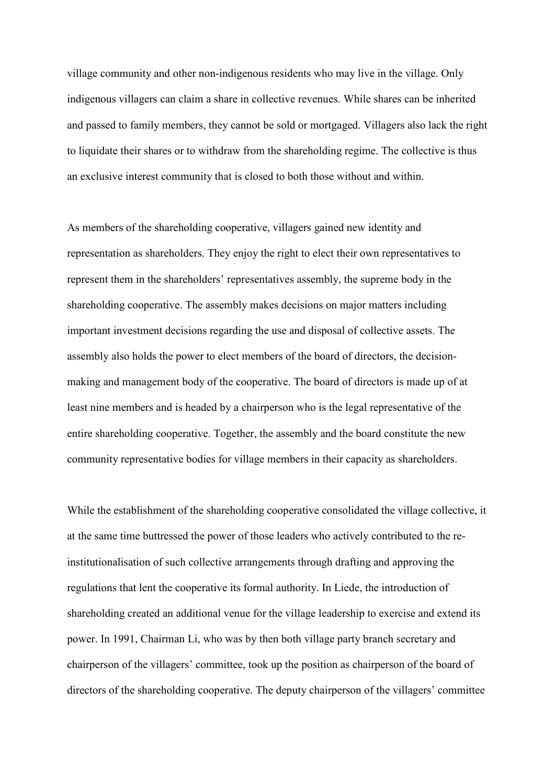village community and other non-indigenous residents who may live in the village. Only indigenous villagers can claim a share in collective revenues. While shares can be inherited and passed to family members, they cannot be sold or mortgaged. Villagers also lack the right to liquidate their shares or to withdraw from the shareholding regime. The collective is thus an exclusive interest community that is closed to both those without and within.

As members of the shareholding cooperative, villagers gained new identity and representation as shareholders. They enjoy the right to elect their own representatives to represent them in the shareholders' representatives assembly, the supreme body in the shareholding cooperative. The assembly makes decisions on major matters including important investment decisions regarding the use and disposal of collective assets. The assembly also holds the power to elect members of the board of directors, the decisionmaking and management body of the cooperative. The board of directors is made up of at least nine members and is headed by a chairperson who is the legal representative of the entire shareholding cooperative. Together, the assembly and the board constitute the new community representative bodies for village members in their capacity as shareholders.

While the establishment of the shareholding cooperative consolidated the village collective, it at the same time buttressed the power of those leaders who actively contributed to the reinstitutionalisation of such collective arrangements through drafting and approving the regulations that lent the cooperative its formal authority. In Liede, the introduction of shareholding created an additional venue for the village leadership to exercise and extend its power. In 1991, Chairman Li, who was by then both village party branch secretary and chairperson of the villagers' committee, took up the position as chairperson of the board of directors of the shareholding cooperative. The deputy chairperson of the villagers' committee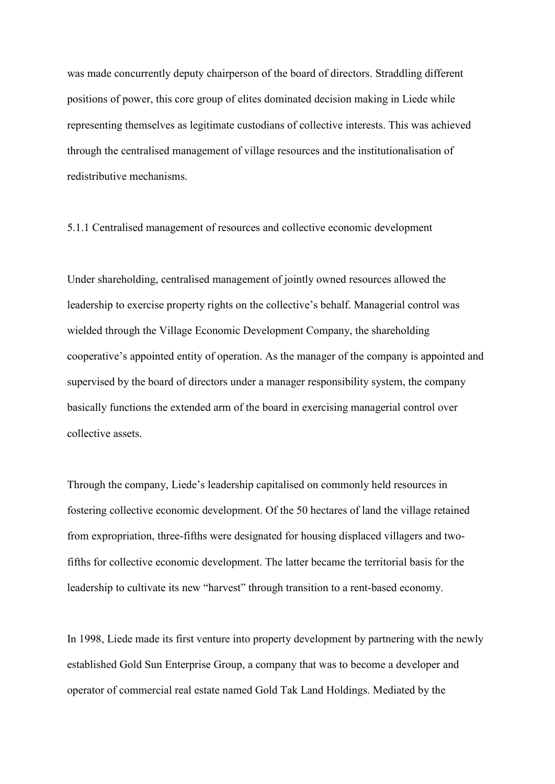was made concurrently deputy chairperson of the board of directors. Straddling different positions of power, this core group of elites dominated decision making in Liede while representing themselves as legitimate custodians of collective interests. This was achieved through the centralised management of village resources and the institutionalisation of redistributive mechanisms.

5.1.1 Centralised management of resources and collective economic development

Under shareholding, centralised management of jointly owned resources allowed the leadership to exercise property rights on the collective's behalf. Managerial control was wielded through the Village Economic Development Company, the shareholding cooperative's appointed entity of operation. As the manager of the company is appointed and supervised by the board of directors under a manager responsibility system, the company basically functions the extended arm of the board in exercising managerial control over collective assets.

Through the company, Liede's leadership capitalised on commonly held resources in fostering collective economic development. Of the 50 hectares of land the village retained from expropriation, three-fifths were designated for housing displaced villagers and twofifths for collective economic development. The latter became the territorial basis for the leadership to cultivate its new "harvest" through transition to a rent-based economy.

In 1998, Liede made its first venture into property development by partnering with the newly established Gold Sun Enterprise Group, a company that was to become a developer and operator of commercial real estate named Gold Tak Land Holdings. Mediated by the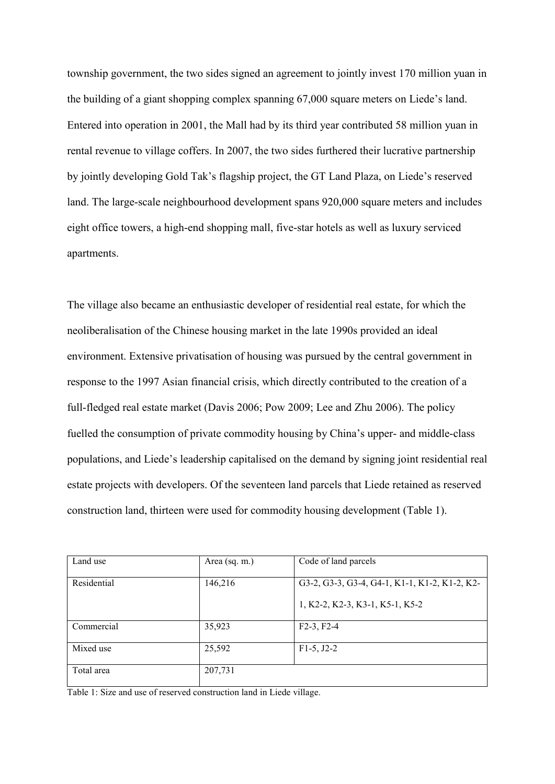township government, the two sides signed an agreement to jointly invest 170 million yuan in the building of a giant shopping complex spanning 67,000 square meters on Liede's land. Entered into operation in 2001, the Mall had by its third year contributed 58 million yuan in rental revenue to village coffers. In 2007, the two sides furthered their lucrative partnership by jointly developing Gold Tak's flagship project, the GT Land Plaza, on Liede's reserved land. The large-scale neighbourhood development spans 920,000 square meters and includes eight office towers, a high-end shopping mall, five-star hotels as well as luxury serviced apartments.

The village also became an enthusiastic developer of residential real estate, for which the neoliberalisation of the Chinese housing market in the late 1990s provided an ideal environment. Extensive privatisation of housing was pursued by the central government in response to the 1997 Asian financial crisis, which directly contributed to the creation of a full-fledged real estate market (Davis 2006; Pow 2009; Lee and Zhu 2006). The policy fuelled the consumption of private commodity housing by China's upper- and middle-class populations, and Liede's leadership capitalised on the demand by signing joint residential real estate projects with developers. Of the seventeen land parcels that Liede retained as reserved construction land, thirteen were used for commodity housing development (Table 1).

| Land use    | Area (sq. m.) | Code of land parcels                          |
|-------------|---------------|-----------------------------------------------|
| Residential | 146,216       | G3-2, G3-3, G3-4, G4-1, K1-1, K1-2, K1-2, K2- |
|             |               |                                               |
|             |               | 1, K2-2, K2-3, K3-1, K5-1, K5-2               |
|             |               |                                               |
| Commercial  | 35,923        | $F2-3, F2-4$                                  |
|             |               |                                               |
| Mixed use   | 25,592        | $F1-5, J2-2$                                  |
|             |               |                                               |
| Total area  | 207,731       |                                               |
|             |               |                                               |

Table 1: Size and use of reserved construction land in Liede village.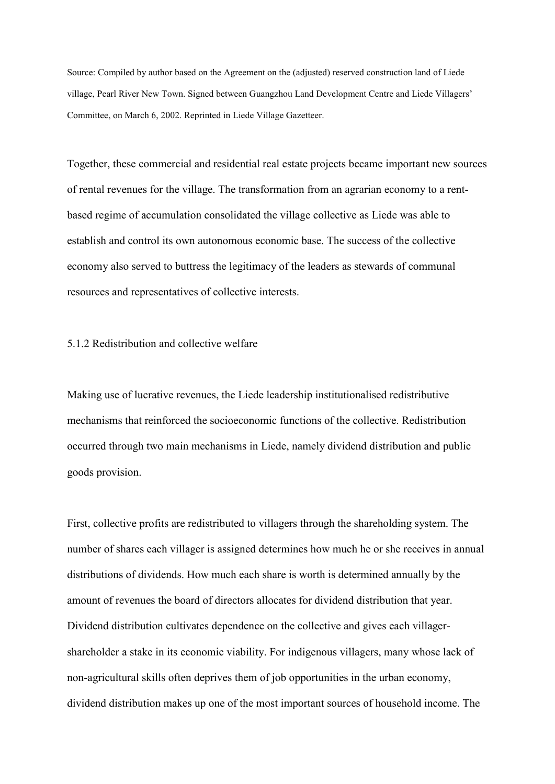Source: Compiled by author based on the Agreement on the (adjusted) reserved construction land of Liede village, Pearl River New Town. Signed between Guangzhou Land Development Centre and Liede Villagers' Committee, on March 6, 2002. Reprinted in Liede Village Gazetteer.

Together, these commercial and residential real estate projects became important new sources of rental revenues for the village. The transformation from an agrarian economy to a rentbased regime of accumulation consolidated the village collective as Liede was able to establish and control its own autonomous economic base. The success of the collective economy also served to buttress the legitimacy of the leaders as stewards of communal resources and representatives of collective interests.

# 5.1.2 Redistribution and collective welfare

Making use of lucrative revenues, the Liede leadership institutionalised redistributive mechanisms that reinforced the socioeconomic functions of the collective. Redistribution occurred through two main mechanisms in Liede, namely dividend distribution and public goods provision.

First, collective profits are redistributed to villagers through the shareholding system. The number of shares each villager is assigned determines how much he or she receives in annual distributions of dividends. How much each share is worth is determined annually by the amount of revenues the board of directors allocates for dividend distribution that year. Dividend distribution cultivates dependence on the collective and gives each villagershareholder a stake in its economic viability. For indigenous villagers, many whose lack of non-agricultural skills often deprives them of job opportunities in the urban economy, dividend distribution makes up one of the most important sources of household income. The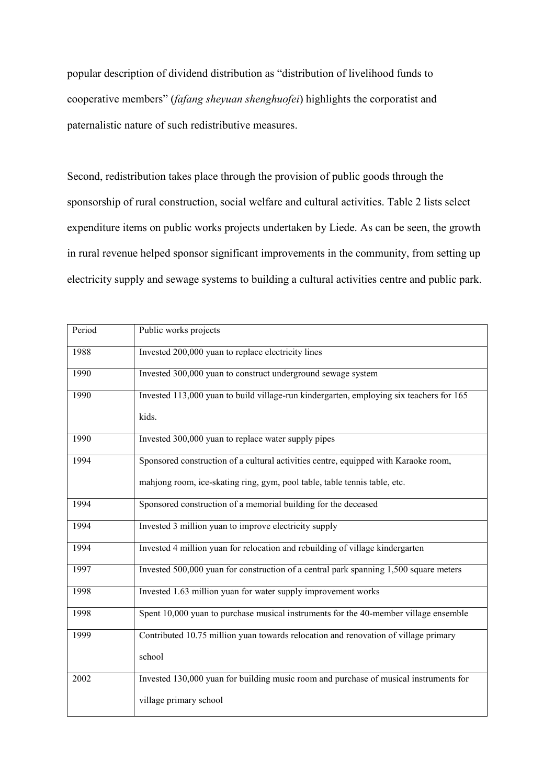popular description of dividend distribution as "distribution of livelihood funds to cooperative members" (*fafang sheyuan shenghuofei*) highlights the corporatist and paternalistic nature of such redistributive measures.

Second, redistribution takes place through the provision of public goods through the sponsorship of rural construction, social welfare and cultural activities. Table 2 lists select expenditure items on public works projects undertaken by Liede. As can be seen, the growth in rural revenue helped sponsor significant improvements in the community, from setting up electricity supply and sewage systems to building a cultural activities centre and public park.

| Period | Public works projects                                                                   |
|--------|-----------------------------------------------------------------------------------------|
| 1988   | Invested 200,000 yuan to replace electricity lines                                      |
| 1990   | Invested 300,000 yuan to construct underground sewage system                            |
| 1990   | Invested 113,000 yuan to build village-run kindergarten, employing six teachers for 165 |
|        | kids.                                                                                   |
| 1990   | Invested 300,000 yuan to replace water supply pipes                                     |
| 1994   | Sponsored construction of a cultural activities centre, equipped with Karaoke room,     |
|        | mahjong room, ice-skating ring, gym, pool table, table tennis table, etc.               |
| 1994   | Sponsored construction of a memorial building for the deceased                          |
| 1994   | Invested 3 million yuan to improve electricity supply                                   |
| 1994   | Invested 4 million yuan for relocation and rebuilding of village kindergarten           |
| 1997   | Invested 500,000 yuan for construction of a central park spanning 1,500 square meters   |
| 1998   | Invested 1.63 million yuan for water supply improvement works                           |
| 1998   | Spent 10,000 yuan to purchase musical instruments for the 40-member village ensemble    |
| 1999   | Contributed 10.75 million yuan towards relocation and renovation of village primary     |
|        | school                                                                                  |
| 2002   | Invested 130,000 yuan for building music room and purchase of musical instruments for   |
|        | village primary school                                                                  |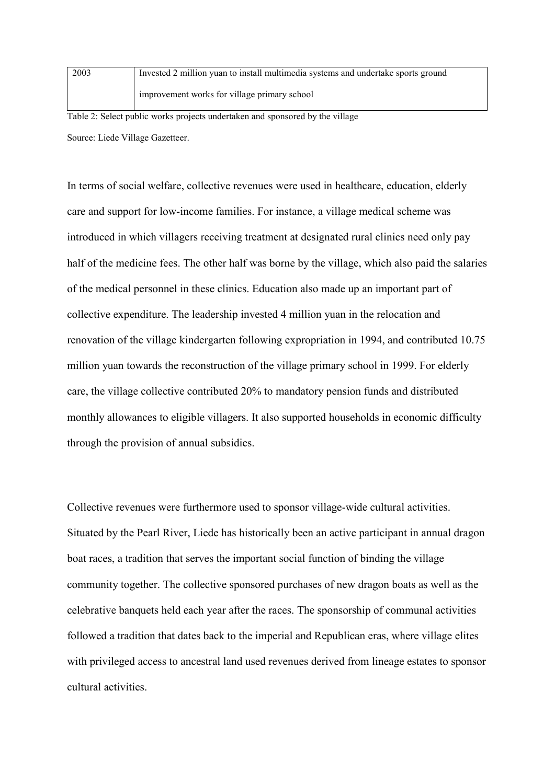| 2003 | Invested 2 million yuan to install multimedia systems and undertake sports ground |  |
|------|-----------------------------------------------------------------------------------|--|
|      | improvement works for village primary school                                      |  |

Table 2: Select public works projects undertaken and sponsored by the village Source: Liede Village Gazetteer.

In terms of social welfare, collective revenues were used in healthcare, education, elderly care and support for low-income families. For instance, a village medical scheme was introduced in which villagers receiving treatment at designated rural clinics need only pay half of the medicine fees. The other half was borne by the village, which also paid the salaries of the medical personnel in these clinics. Education also made up an important part of collective expenditure. The leadership invested 4 million yuan in the relocation and renovation of the village kindergarten following expropriation in 1994, and contributed 10.75 million yuan towards the reconstruction of the village primary school in 1999. For elderly care, the village collective contributed 20% to mandatory pension funds and distributed monthly allowances to eligible villagers. It also supported households in economic difficulty through the provision of annual subsidies.

Collective revenues were furthermore used to sponsor village-wide cultural activities. Situated by the Pearl River, Liede has historically been an active participant in annual dragon boat races, a tradition that serves the important social function of binding the village community together. The collective sponsored purchases of new dragon boats as well as the celebrative banquets held each year after the races. The sponsorship of communal activities followed a tradition that dates back to the imperial and Republican eras, where village elites with privileged access to ancestral land used revenues derived from lineage estates to sponsor cultural activities.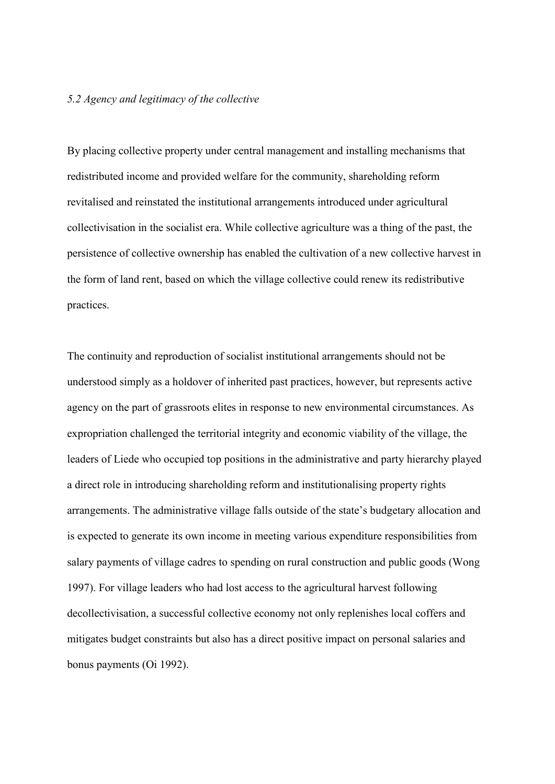### *5.2 Agency and legitimacy of the collective*

By placing collective property under central management and installing mechanisms that redistributed income and provided welfare for the community, shareholding reform revitalised and reinstated the institutional arrangements introduced under agricultural collectivisation in the socialist era. While collective agriculture was a thing of the past, the persistence of collective ownership has enabled the cultivation of a new collective harvest in the form of land rent, based on which the village collective could renew its redistributive practices.

The continuity and reproduction of socialist institutional arrangements should not be understood simply as a holdover of inherited past practices, however, but represents active agency on the part of grassroots elites in response to new environmental circumstances. As expropriation challenged the territorial integrity and economic viability of the village, the leaders of Liede who occupied top positions in the administrative and party hierarchy played a direct role in introducing shareholding reform and institutionalising property rights arrangements. The administrative village falls outside of the state's budgetary allocation and is expected to generate its own income in meeting various expenditure responsibilities from salary payments of village cadres to spending on rural construction and public goods (Wong 1997). For village leaders who had lost access to the agricultural harvest following decollectivisation, a successful collective economy not only replenishes local coffers and mitigates budget constraints but also has a direct positive impact on personal salaries and bonus payments (Oi 1992).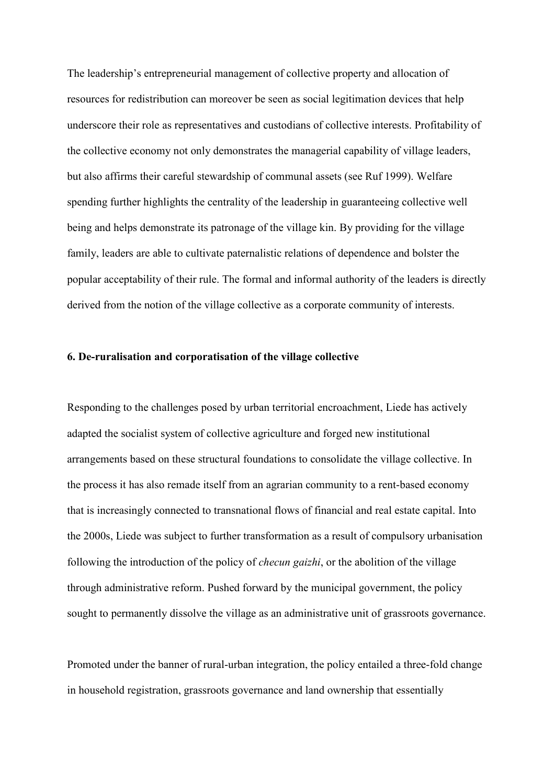The leadership's entrepreneurial management of collective property and allocation of resources for redistribution can moreover be seen as social legitimation devices that help underscore their role as representatives and custodians of collective interests. Profitability of the collective economy not only demonstrates the managerial capability of village leaders, but also affirms their careful stewardship of communal assets (see Ruf 1999). Welfare spending further highlights the centrality of the leadership in guaranteeing collective well being and helps demonstrate its patronage of the village kin. By providing for the village family, leaders are able to cultivate paternalistic relations of dependence and bolster the popular acceptability of their rule. The formal and informal authority of the leaders is directly derived from the notion of the village collective as a corporate community of interests.

### **6. De-ruralisation and corporatisation of the village collective**

Responding to the challenges posed by urban territorial encroachment, Liede has actively adapted the socialist system of collective agriculture and forged new institutional arrangements based on these structural foundations to consolidate the village collective. In the process it has also remade itself from an agrarian community to a rent-based economy that is increasingly connected to transnational flows of financial and real estate capital. Into the 2000s, Liede was subject to further transformation as a result of compulsory urbanisation following the introduction of the policy of *checun gaizhi*, or the abolition of the village through administrative reform. Pushed forward by the municipal government, the policy sought to permanently dissolve the village as an administrative unit of grassroots governance.

Promoted under the banner of rural-urban integration, the policy entailed a three-fold change in household registration, grassroots governance and land ownership that essentially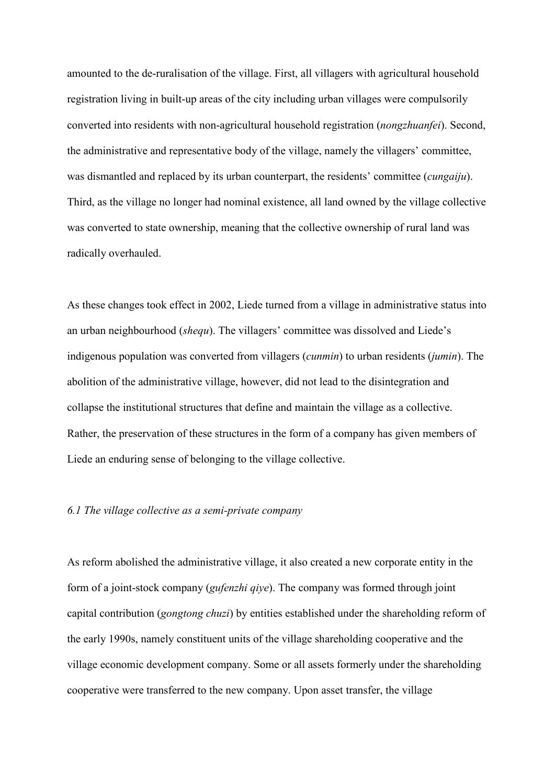amounted to the de-ruralisation of the village. First, all villagers with agricultural household registration living in built-up areas of the city including urban villages were compulsorily converted into residents with non-agricultural household registration (*nongzhuanfei*). Second, the administrative and representative body of the village, namely the villagers' committee, was dismantled and replaced by its urban counterpart, the residents' committee (*cungaiju*). Third, as the village no longer had nominal existence, all land owned by the village collective was converted to state ownership, meaning that the collective ownership of rural land was radically overhauled.

As these changes took effect in 2002, Liede turned from a village in administrative status into an urban neighbourhood (*shequ*). The villagers' committee was dissolved and Liede's indigenous population was converted from villagers (*cunmin*) to urban residents (*jumin*). The abolition of the administrative village, however, did not lead to the disintegration and collapse the institutional structures that define and maintain the village as a collective. Rather, the preservation of these structures in the form of a company has given members of Liede an enduring sense of belonging to the village collective.

# *6.1 The village collective as a semi-private company*

As reform abolished the administrative village, it also created a new corporate entity in the form of a joint-stock company (*gufenzhi qiye*). The company was formed through joint capital contribution (*gongtong chuzi*) by entities established under the shareholding reform of the early 1990s, namely constituent units of the village shareholding cooperative and the village economic development company. Some or all assets formerly under the shareholding cooperative were transferred to the new company. Upon asset transfer, the village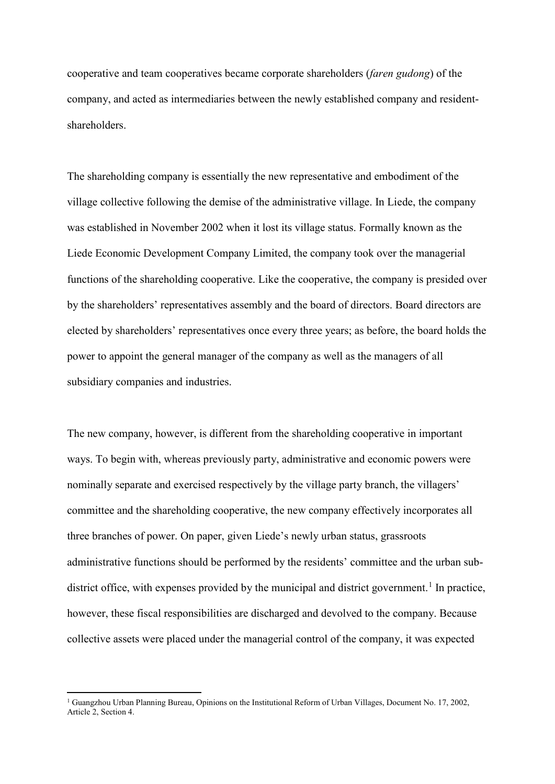cooperative and team cooperatives became corporate shareholders (*faren gudong*) of the company, and acted as intermediaries between the newly established company and residentshareholders.

The shareholding company is essentially the new representative and embodiment of the village collective following the demise of the administrative village. In Liede, the company was established in November 2002 when it lost its village status. Formally known as the Liede Economic Development Company Limited, the company took over the managerial functions of the shareholding cooperative. Like the cooperative, the company is presided over by the shareholders' representatives assembly and the board of directors. Board directors are elected by shareholders' representatives once every three years; as before, the board holds the power to appoint the general manager of the company as well as the managers of all subsidiary companies and industries.

The new company, however, is different from the shareholding cooperative in important ways. To begin with, whereas previously party, administrative and economic powers were nominally separate and exercised respectively by the village party branch, the villagers' committee and the shareholding cooperative, the new company effectively incorporates all three branches of power. On paper, given Liede's newly urban status, grassroots administrative functions should be performed by the residents' committee and the urban sub-district office, with expenses provided by the municipal and district government.<sup>[1](#page-30-0)</sup> In practice, however, these fiscal responsibilities are discharged and devolved to the company. Because collective assets were placed under the managerial control of the company, it was expected

<span id="page-30-0"></span><sup>&</sup>lt;sup>1</sup> Guangzhou Urban Planning Bureau, Opinions on the Institutional Reform of Urban Villages, Document No. 17, 2002, Article 2, Section 4.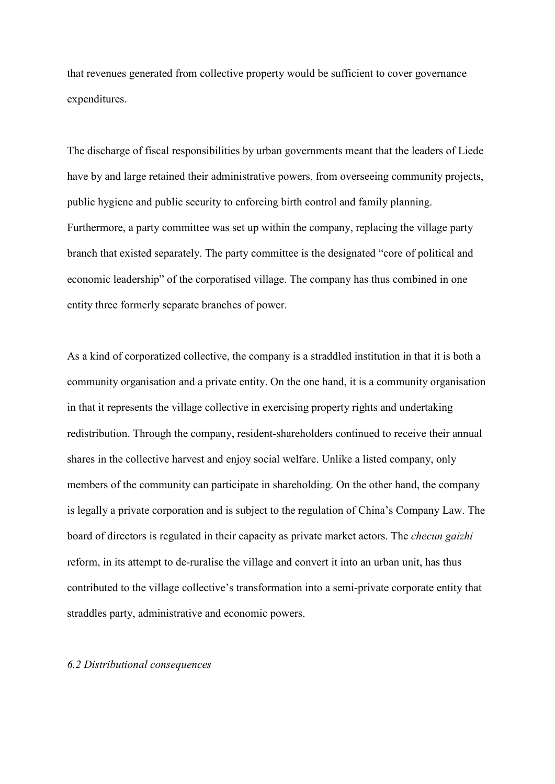that revenues generated from collective property would be sufficient to cover governance expenditures.

The discharge of fiscal responsibilities by urban governments meant that the leaders of Liede have by and large retained their administrative powers, from overseeing community projects, public hygiene and public security to enforcing birth control and family planning. Furthermore, a party committee was set up within the company, replacing the village party branch that existed separately. The party committee is the designated "core of political and economic leadership" of the corporatised village. The company has thus combined in one entity three formerly separate branches of power.

As a kind of corporatized collective, the company is a straddled institution in that it is both a community organisation and a private entity. On the one hand, it is a community organisation in that it represents the village collective in exercising property rights and undertaking redistribution. Through the company, resident-shareholders continued to receive their annual shares in the collective harvest and enjoy social welfare. Unlike a listed company, only members of the community can participate in shareholding. On the other hand, the company is legally a private corporation and is subject to the regulation of China's Company Law. The board of directors is regulated in their capacity as private market actors. The *checun gaizhi* reform, in its attempt to de-ruralise the village and convert it into an urban unit, has thus contributed to the village collective's transformation into a semi-private corporate entity that straddles party, administrative and economic powers.

# *6.2 Distributional consequences*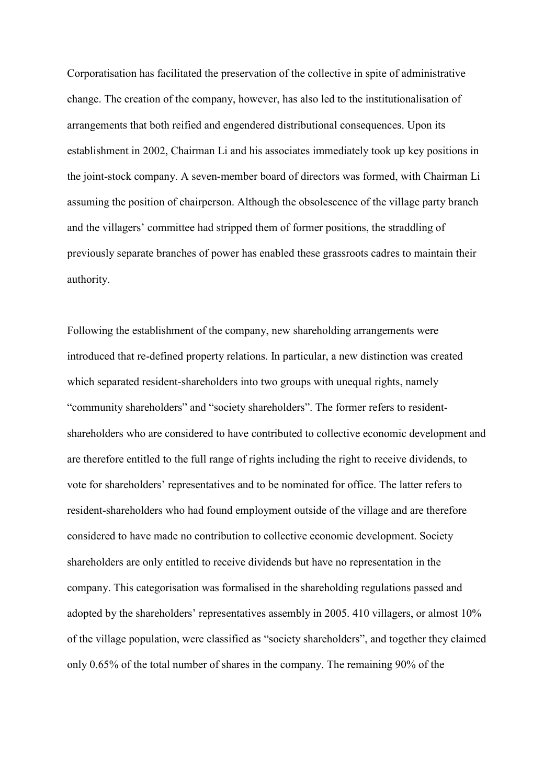Corporatisation has facilitated the preservation of the collective in spite of administrative change. The creation of the company, however, has also led to the institutionalisation of arrangements that both reified and engendered distributional consequences. Upon its establishment in 2002, Chairman Li and his associates immediately took up key positions in the joint-stock company. A seven-member board of directors was formed, with Chairman Li assuming the position of chairperson. Although the obsolescence of the village party branch and the villagers' committee had stripped them of former positions, the straddling of previously separate branches of power has enabled these grassroots cadres to maintain their authority.

Following the establishment of the company, new shareholding arrangements were introduced that re-defined property relations. In particular, a new distinction was created which separated resident-shareholders into two groups with unequal rights, namely "community shareholders" and "society shareholders". The former refers to residentshareholders who are considered to have contributed to collective economic development and are therefore entitled to the full range of rights including the right to receive dividends, to vote for shareholders' representatives and to be nominated for office. The latter refers to resident-shareholders who had found employment outside of the village and are therefore considered to have made no contribution to collective economic development. Society shareholders are only entitled to receive dividends but have no representation in the company. This categorisation was formalised in the shareholding regulations passed and adopted by the shareholders' representatives assembly in 2005. 410 villagers, or almost 10% of the village population, were classified as "society shareholders", and together they claimed only 0.65% of the total number of shares in the company. The remaining 90% of the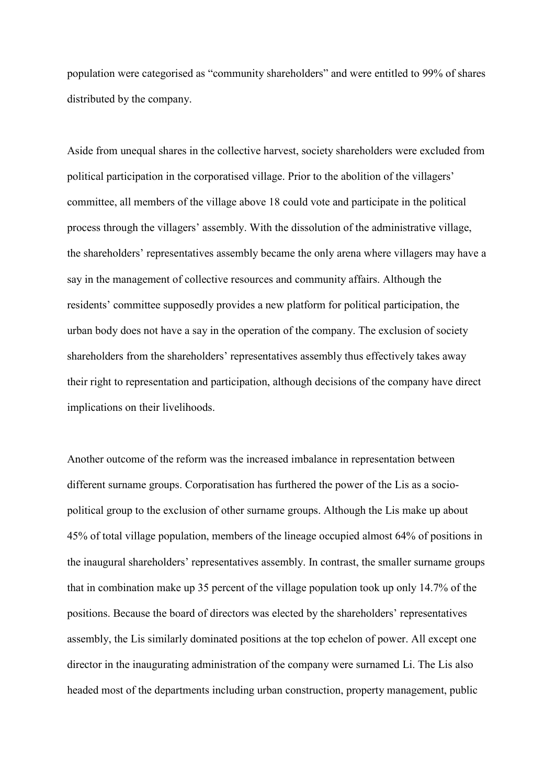population were categorised as "community shareholders" and were entitled to 99% of shares distributed by the company.

Aside from unequal shares in the collective harvest, society shareholders were excluded from political participation in the corporatised village. Prior to the abolition of the villagers' committee, all members of the village above 18 could vote and participate in the political process through the villagers' assembly. With the dissolution of the administrative village, the shareholders' representatives assembly became the only arena where villagers may have a say in the management of collective resources and community affairs. Although the residents' committee supposedly provides a new platform for political participation, the urban body does not have a say in the operation of the company. The exclusion of society shareholders from the shareholders' representatives assembly thus effectively takes away their right to representation and participation, although decisions of the company have direct implications on their livelihoods.

Another outcome of the reform was the increased imbalance in representation between different surname groups. Corporatisation has furthered the power of the Lis as a sociopolitical group to the exclusion of other surname groups. Although the Lis make up about 45% of total village population, members of the lineage occupied almost 64% of positions in the inaugural shareholders' representatives assembly. In contrast, the smaller surname groups that in combination make up 35 percent of the village population took up only 14.7% of the positions. Because the board of directors was elected by the shareholders' representatives assembly, the Lis similarly dominated positions at the top echelon of power. All except one director in the inaugurating administration of the company were surnamed Li. The Lis also headed most of the departments including urban construction, property management, public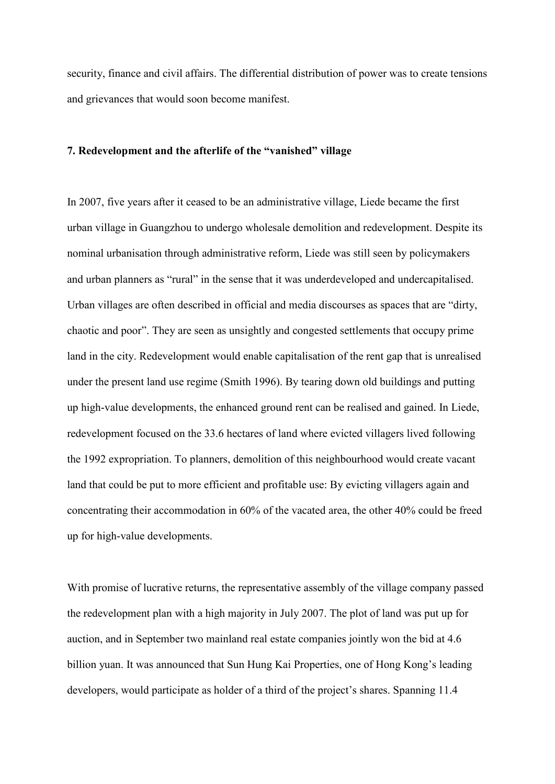security, finance and civil affairs. The differential distribution of power was to create tensions and grievances that would soon become manifest.

# **7. Redevelopment and the afterlife of the "vanished" village**

In 2007, five years after it ceased to be an administrative village, Liede became the first urban village in Guangzhou to undergo wholesale demolition and redevelopment. Despite its nominal urbanisation through administrative reform, Liede was still seen by policymakers and urban planners as "rural" in the sense that it was underdeveloped and undercapitalised. Urban villages are often described in official and media discourses as spaces that are "dirty, chaotic and poor". They are seen as unsightly and congested settlements that occupy prime land in the city. Redevelopment would enable capitalisation of the rent gap that is unrealised under the present land use regime (Smith 1996). By tearing down old buildings and putting up high-value developments, the enhanced ground rent can be realised and gained. In Liede, redevelopment focused on the 33.6 hectares of land where evicted villagers lived following the 1992 expropriation. To planners, demolition of this neighbourhood would create vacant land that could be put to more efficient and profitable use: By evicting villagers again and concentrating their accommodation in 60% of the vacated area, the other 40% could be freed up for high-value developments.

With promise of lucrative returns, the representative assembly of the village company passed the redevelopment plan with a high majority in July 2007. The plot of land was put up for auction, and in September two mainland real estate companies jointly won the bid at 4.6 billion yuan. It was announced that Sun Hung Kai Properties, one of Hong Kong's leading developers, would participate as holder of a third of the project's shares. Spanning 11.4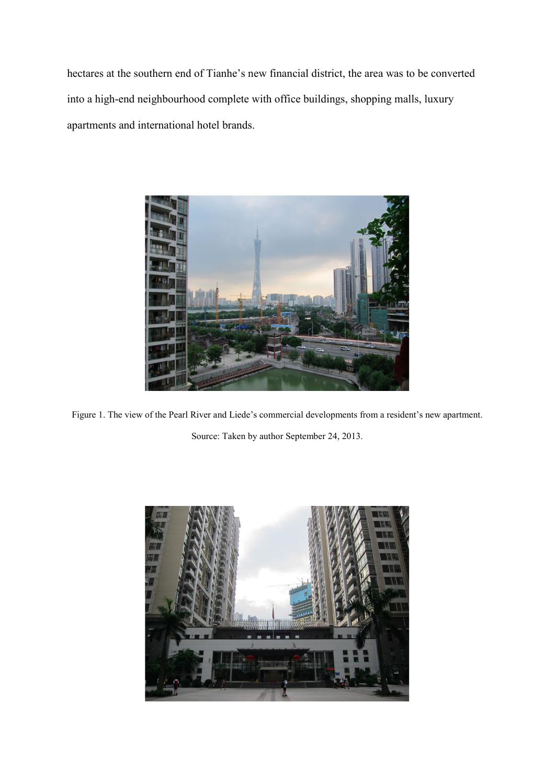hectares at the southern end of Tianhe's new financial district, the area was to be converted into a high-end neighbourhood complete with office buildings, shopping malls, luxury apartments and international hotel brands.



Figure 1. The view of the Pearl River and Liede's commercial developments from a resident's new apartment. Source: Taken by author September 24, 2013.

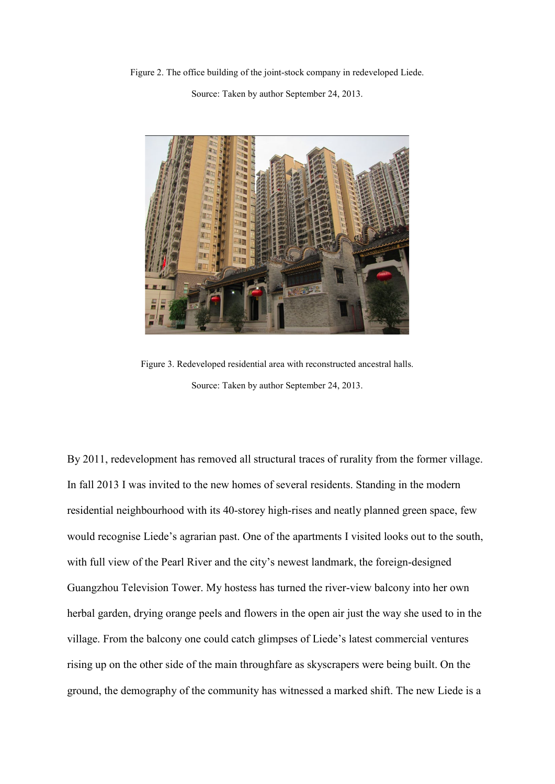Figure 2. The office building of the joint-stock company in redeveloped Liede.

Source: Taken by author September 24, 2013.



Figure 3. Redeveloped residential area with reconstructed ancestral halls. Source: Taken by author September 24, 2013.

By 2011, redevelopment has removed all structural traces of rurality from the former village. In fall 2013 I was invited to the new homes of several residents. Standing in the modern residential neighbourhood with its 40-storey high-rises and neatly planned green space, few would recognise Liede's agrarian past. One of the apartments I visited looks out to the south, with full view of the Pearl River and the city's newest landmark, the foreign-designed Guangzhou Television Tower. My hostess has turned the river-view balcony into her own herbal garden, drying orange peels and flowers in the open air just the way she used to in the village. From the balcony one could catch glimpses of Liede's latest commercial ventures rising up on the other side of the main throughfare as skyscrapers were being built. On the ground, the demography of the community has witnessed a marked shift. The new Liede is a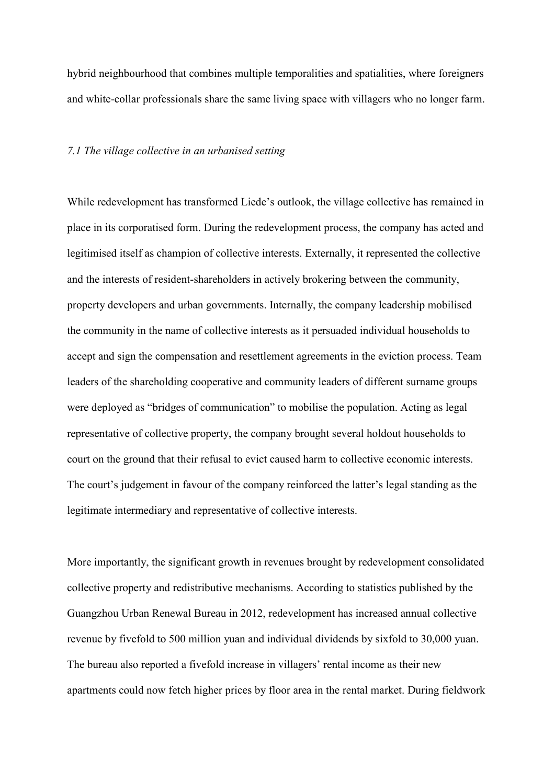hybrid neighbourhood that combines multiple temporalities and spatialities, where foreigners and white-collar professionals share the same living space with villagers who no longer farm.

#### *7.1 The village collective in an urbanised setting*

While redevelopment has transformed Liede's outlook, the village collective has remained in place in its corporatised form. During the redevelopment process, the company has acted and legitimised itself as champion of collective interests. Externally, it represented the collective and the interests of resident-shareholders in actively brokering between the community, property developers and urban governments. Internally, the company leadership mobilised the community in the name of collective interests as it persuaded individual households to accept and sign the compensation and resettlement agreements in the eviction process. Team leaders of the shareholding cooperative and community leaders of different surname groups were deployed as "bridges of communication" to mobilise the population. Acting as legal representative of collective property, the company brought several holdout households to court on the ground that their refusal to evict caused harm to collective economic interests. The court's judgement in favour of the company reinforced the latter's legal standing as the legitimate intermediary and representative of collective interests.

More importantly, the significant growth in revenues brought by redevelopment consolidated collective property and redistributive mechanisms. According to statistics published by the Guangzhou Urban Renewal Bureau in 2012, redevelopment has increased annual collective revenue by fivefold to 500 million yuan and individual dividends by sixfold to 30,000 yuan. The bureau also reported a fivefold increase in villagers' rental income as their new apartments could now fetch higher prices by floor area in the rental market. During fieldwork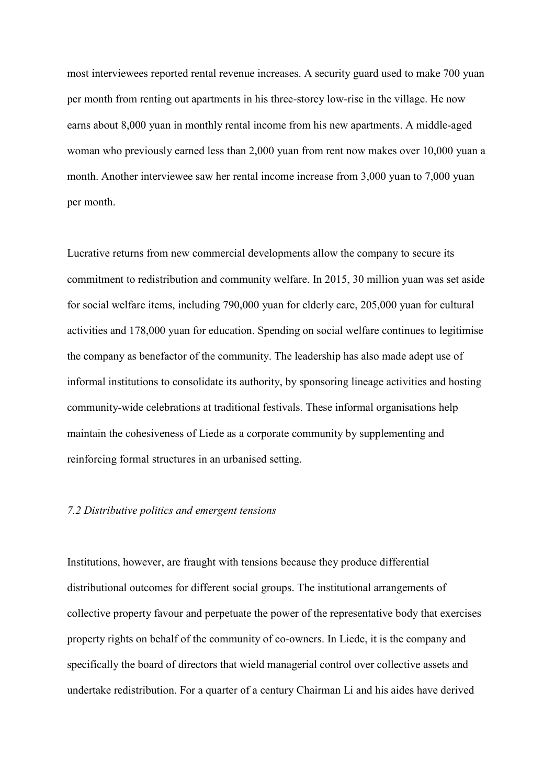most interviewees reported rental revenue increases. A security guard used to make 700 yuan per month from renting out apartments in his three-storey low-rise in the village. He now earns about 8,000 yuan in monthly rental income from his new apartments. A middle-aged woman who previously earned less than 2,000 yuan from rent now makes over 10,000 yuan a month. Another interviewee saw her rental income increase from 3,000 yuan to 7,000 yuan per month.

Lucrative returns from new commercial developments allow the company to secure its commitment to redistribution and community welfare. In 2015, 30 million yuan was set aside for social welfare items, including 790,000 yuan for elderly care, 205,000 yuan for cultural activities and 178,000 yuan for education. Spending on social welfare continues to legitimise the company as benefactor of the community. The leadership has also made adept use of informal institutions to consolidate its authority, by sponsoring lineage activities and hosting community-wide celebrations at traditional festivals. These informal organisations help maintain the cohesiveness of Liede as a corporate community by supplementing and reinforcing formal structures in an urbanised setting.

# *7.2 Distributive politics and emergent tensions*

Institutions, however, are fraught with tensions because they produce differential distributional outcomes for different social groups. The institutional arrangements of collective property favour and perpetuate the power of the representative body that exercises property rights on behalf of the community of co-owners. In Liede, it is the company and specifically the board of directors that wield managerial control over collective assets and undertake redistribution. For a quarter of a century Chairman Li and his aides have derived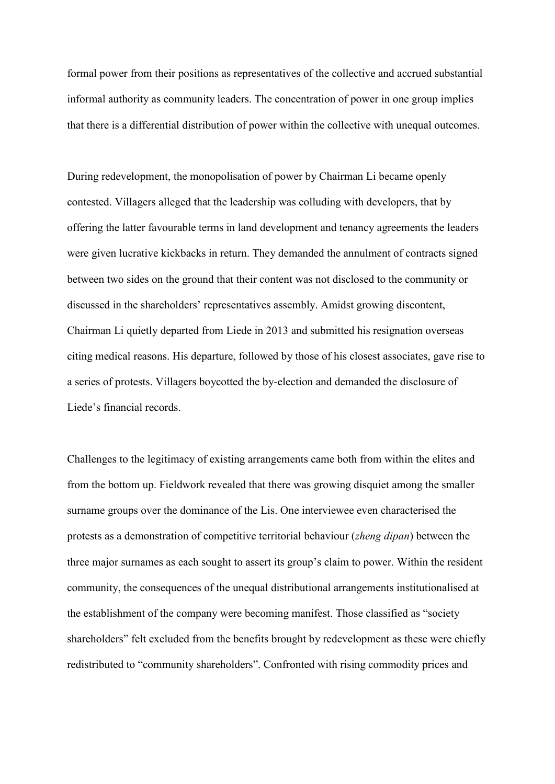formal power from their positions as representatives of the collective and accrued substantial informal authority as community leaders. The concentration of power in one group implies that there is a differential distribution of power within the collective with unequal outcomes.

During redevelopment, the monopolisation of power by Chairman Li became openly contested. Villagers alleged that the leadership was colluding with developers, that by offering the latter favourable terms in land development and tenancy agreements the leaders were given lucrative kickbacks in return. They demanded the annulment of contracts signed between two sides on the ground that their content was not disclosed to the community or discussed in the shareholders' representatives assembly. Amidst growing discontent, Chairman Li quietly departed from Liede in 2013 and submitted his resignation overseas citing medical reasons. His departure, followed by those of his closest associates, gave rise to a series of protests. Villagers boycotted the by-election and demanded the disclosure of Liede's financial records.

Challenges to the legitimacy of existing arrangements came both from within the elites and from the bottom up. Fieldwork revealed that there was growing disquiet among the smaller surname groups over the dominance of the Lis. One interviewee even characterised the protests as a demonstration of competitive territorial behaviour (*zheng dipan*) between the three major surnames as each sought to assert its group's claim to power. Within the resident community, the consequences of the unequal distributional arrangements institutionalised at the establishment of the company were becoming manifest. Those classified as "society shareholders" felt excluded from the benefits brought by redevelopment as these were chiefly redistributed to "community shareholders". Confronted with rising commodity prices and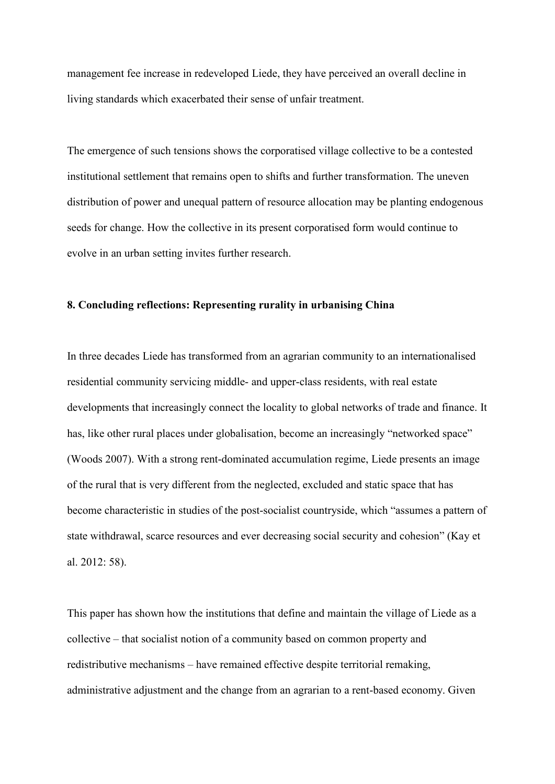management fee increase in redeveloped Liede, they have perceived an overall decline in living standards which exacerbated their sense of unfair treatment.

The emergence of such tensions shows the corporatised village collective to be a contested institutional settlement that remains open to shifts and further transformation. The uneven distribution of power and unequal pattern of resource allocation may be planting endogenous seeds for change. How the collective in its present corporatised form would continue to evolve in an urban setting invites further research.

## **8. Concluding reflections: Representing rurality in urbanising China**

In three decades Liede has transformed from an agrarian community to an internationalised residential community servicing middle- and upper-class residents, with real estate developments that increasingly connect the locality to global networks of trade and finance. It has, like other rural places under globalisation, become an increasingly "networked space" (Woods 2007). With a strong rent-dominated accumulation regime, Liede presents an image of the rural that is very different from the neglected, excluded and static space that has become characteristic in studies of the post-socialist countryside, which "assumes a pattern of state withdrawal, scarce resources and ever decreasing social security and cohesion" (Kay et al. 2012: 58).

This paper has shown how the institutions that define and maintain the village of Liede as a collective – that socialist notion of a community based on common property and redistributive mechanisms – have remained effective despite territorial remaking, administrative adjustment and the change from an agrarian to a rent-based economy. Given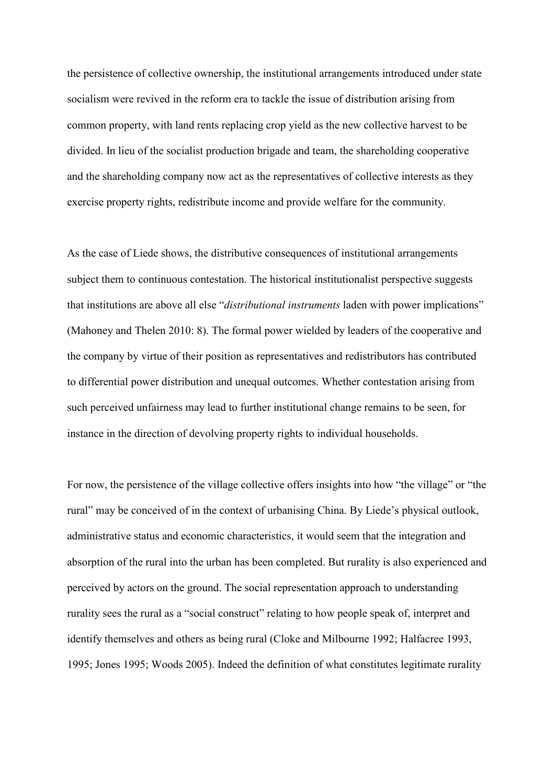the persistence of collective ownership, the institutional arrangements introduced under state socialism were revived in the reform era to tackle the issue of distribution arising from common property, with land rents replacing crop yield as the new collective harvest to be divided. In lieu of the socialist production brigade and team, the shareholding cooperative and the shareholding company now act as the representatives of collective interests as they exercise property rights, redistribute income and provide welfare for the community.

As the case of Liede shows, the distributive consequences of institutional arrangements subject them to continuous contestation. The historical institutionalist perspective suggests that institutions are above all else "*distributional instruments* laden with power implications" (Mahoney and Thelen 2010: 8). The formal power wielded by leaders of the cooperative and the company by virtue of their position as representatives and redistributors has contributed to differential power distribution and unequal outcomes. Whether contestation arising from such perceived unfairness may lead to further institutional change remains to be seen, for instance in the direction of devolving property rights to individual households.

For now, the persistence of the village collective offers insights into how "the village" or "the rural" may be conceived of in the context of urbanising China. By Liede's physical outlook, administrative status and economic characteristics, it would seem that the integration and absorption of the rural into the urban has been completed. But rurality is also experienced and perceived by actors on the ground. The social representation approach to understanding rurality sees the rural as a "social construct" relating to how people speak of, interpret and identify themselves and others as being rural (Cloke and Milbourne 1992; Halfacree 1993, 1995; Jones 1995; Woods 2005). Indeed the definition of what constitutes legitimate rurality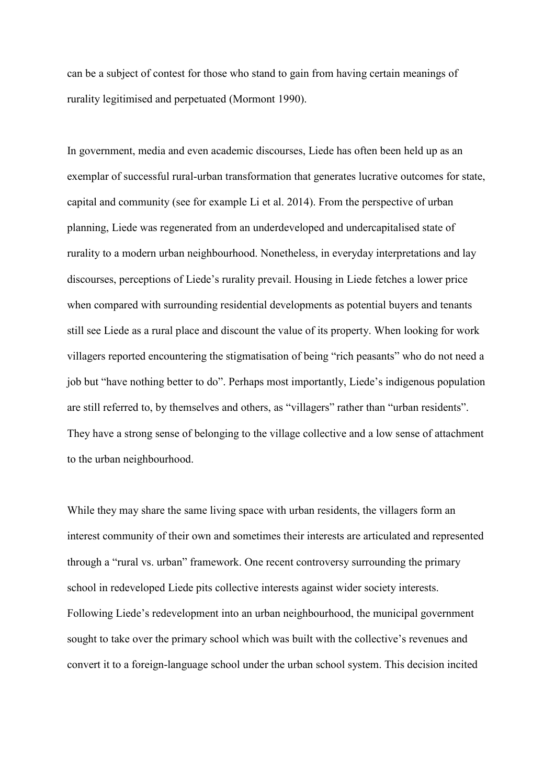can be a subject of contest for those who stand to gain from having certain meanings of rurality legitimised and perpetuated (Mormont 1990).

In government, media and even academic discourses, Liede has often been held up as an exemplar of successful rural-urban transformation that generates lucrative outcomes for state, capital and community (see for example Li et al. 2014). From the perspective of urban planning, Liede was regenerated from an underdeveloped and undercapitalised state of rurality to a modern urban neighbourhood. Nonetheless, in everyday interpretations and lay discourses, perceptions of Liede's rurality prevail. Housing in Liede fetches a lower price when compared with surrounding residential developments as potential buyers and tenants still see Liede as a rural place and discount the value of its property. When looking for work villagers reported encountering the stigmatisation of being "rich peasants" who do not need a job but "have nothing better to do". Perhaps most importantly, Liede's indigenous population are still referred to, by themselves and others, as "villagers" rather than "urban residents". They have a strong sense of belonging to the village collective and a low sense of attachment to the urban neighbourhood.

While they may share the same living space with urban residents, the villagers form an interest community of their own and sometimes their interests are articulated and represented through a "rural vs. urban" framework. One recent controversy surrounding the primary school in redeveloped Liede pits collective interests against wider society interests. Following Liede's redevelopment into an urban neighbourhood, the municipal government sought to take over the primary school which was built with the collective's revenues and convert it to a foreign-language school under the urban school system. This decision incited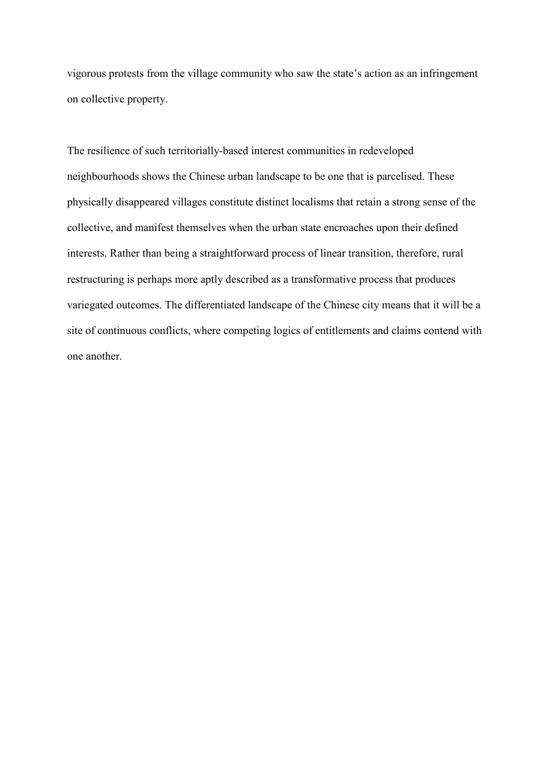vigorous protests from the village community who saw the state's action as an infringement on collective property.

The resilience of such territorially-based interest communities in redeveloped neighbourhoods shows the Chinese urban landscape to be one that is parcelised. These physically disappeared villages constitute distinct localisms that retain a strong sense of the collective, and manifest themselves when the urban state encroaches upon their defined interests. Rather than being a straightforward process of linear transition, therefore, rural restructuring is perhaps more aptly described as a transformative process that produces variegated outcomes. The differentiated landscape of the Chinese city means that it will be a site of continuous conflicts, where competing logics of entitlements and claims contend with one another.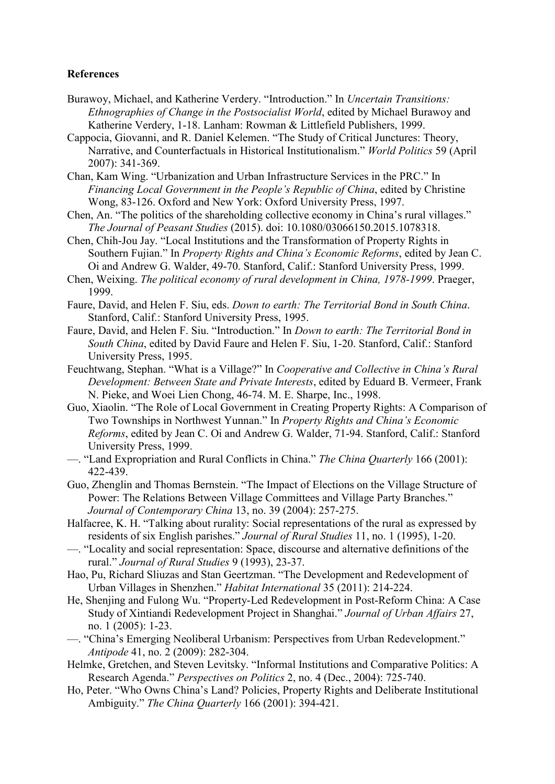# **References**

- Burawoy, Michael, and Katherine Verdery. "Introduction." In *Uncertain Transitions: Ethnographies of Change in the Postsocialist World*, edited by Michael Burawoy and Katherine Verdery, 1-18. Lanham: Rowman & Littlefield Publishers, 1999.
- Cappocia, Giovanni, and R. Daniel Kelemen. "The Study of Critical Junctures: Theory, Narrative, and Counterfactuals in Historical Institutionalism." *World Politics* 59 (April 2007): 341-369.
- Chan, Kam Wing. "Urbanization and Urban Infrastructure Services in the PRC." In *Financing Local Government in the People's Republic of China*, edited by Christine Wong, 83-126. Oxford and New York: Oxford University Press, 1997.
- Chen, An. "The politics of the shareholding collective economy in China's rural villages." *The Journal of Peasant Studies* (2015). doi: 10.1080/03066150.2015.1078318.
- Chen, Chih-Jou Jay. "Local Institutions and the Transformation of Property Rights in Southern Fujian." In *Property Rights and China's Economic Reforms*, edited by Jean C. Oi and Andrew G. Walder, 49-70. Stanford, Calif.: Stanford University Press, 1999.
- Chen, Weixing. *The political economy of rural development in China, 1978-1999*. Praeger, 1999.
- Faure, David, and Helen F. Siu, eds. *Down to earth: The Territorial Bond in South China*. Stanford, Calif.: Stanford University Press, 1995.
- Faure, David, and Helen F. Siu. "Introduction." In *Down to earth: The Territorial Bond in South China*, edited by David Faure and Helen F. Siu, 1-20. Stanford, Calif.: Stanford University Press, 1995.
- Feuchtwang, Stephan. "What is a Village?" In *Cooperative and Collective in China's Rural Development: Between State and Private Interests*, edited by Eduard B. Vermeer, Frank N. Pieke, and Woei Lien Chong, 46-74. M. E. Sharpe, Inc., 1998.
- Guo, Xiaolin. "The Role of Local Government in Creating Property Rights: A Comparison of Two Townships in Northwest Yunnan." In *Property Rights and China's Economic Reforms*, edited by Jean C. Oi and Andrew G. Walder, 71-94. Stanford, Calif.: Stanford University Press, 1999.
- —. "Land Expropriation and Rural Conflicts in China." *The China Quarterly* 166 (2001): 422-439.
- Guo, Zhenglin and Thomas Bernstein. "The Impact of Elections on the Village Structure of Power: The Relations Between Village Committees and Village Party Branches." *Journal of Contemporary China* 13, no. 39 (2004): 257-275.
- Halfacree, K. H. "Talking about rurality: Social representations of the rural as expressed by residents of six English parishes." *Journal of Rural Studies* 11, no. 1 (1995), 1-20.
- —. "Locality and social representation: Space, discourse and alternative definitions of the rural." *Journal of Rural Studies* 9 (1993), 23-37.
- Hao, Pu, Richard Sliuzas and Stan Geertzman. "The Development and Redevelopment of Urban Villages in Shenzhen." *Habitat International* 35 (2011): 214-224.
- He, Shenjing and Fulong Wu. "Property-Led Redevelopment in Post-Reform China: A Case Study of Xintiandi Redevelopment Project in Shanghai." *Journal of Urban Affairs* 27, no. 1 (2005): 1-23.
- —. "China's Emerging Neoliberal Urbanism: Perspectives from Urban Redevelopment." *Antipode* 41, no. 2 (2009): 282-304.
- Helmke, Gretchen, and Steven Levitsky. "Informal Institutions and Comparative Politics: A Research Agenda." *Perspectives on Politics* 2, no. 4 (Dec., 2004): 725-740.
- Ho, Peter. "Who Owns China's Land? Policies, Property Rights and Deliberate Institutional Ambiguity." *The China Quarterly* 166 (2001): 394-421.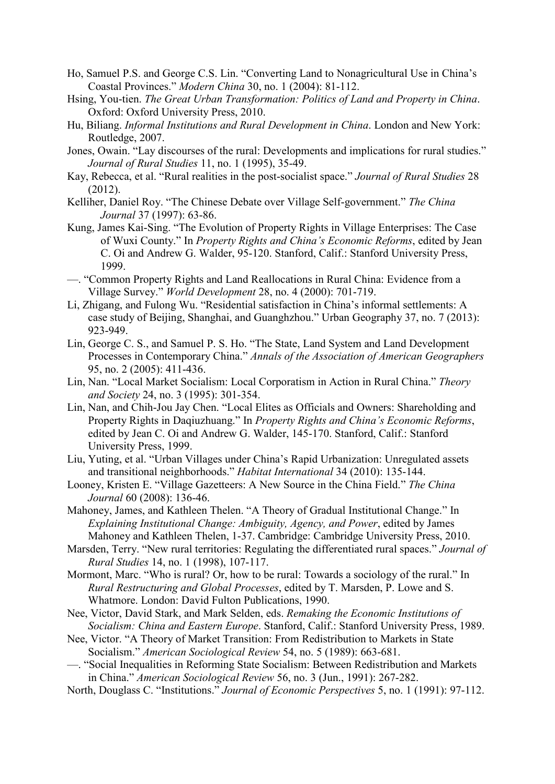- Ho, Samuel P.S. and George C.S. Lin. "Converting Land to Nonagricultural Use in China's Coastal Provinces." *Modern China* 30, no. 1 (2004): 81-112.
- Hsing, You-tien. *The Great Urban Transformation: Politics of Land and Property in China*. Oxford: Oxford University Press, 2010.
- Hu, Biliang. *Informal Institutions and Rural Development in China*. London and New York: Routledge, 2007.
- Jones, Owain. "Lay discourses of the rural: Developments and implications for rural studies." *Journal of Rural Studies* 11, no. 1 (1995), 35-49.
- Kay, Rebecca, et al. "Rural realities in the post-socialist space." *Journal of Rural Studies* 28 (2012).
- Kelliher, Daniel Roy. "The Chinese Debate over Village Self-government." *The China Journal* 37 (1997): 63-86.
- Kung, James Kai-Sing. "The Evolution of Property Rights in Village Enterprises: The Case of Wuxi County." In *Property Rights and China's Economic Reforms*, edited by Jean C. Oi and Andrew G. Walder, 95-120. Stanford, Calif.: Stanford University Press, 1999.
- —. "Common Property Rights and Land Reallocations in Rural China: Evidence from a Village Survey." *World Development* 28, no. 4 (2000): 701-719.
- Li, Zhigang, and Fulong Wu. "Residential satisfaction in China's informal settlements: A case study of Beijing, Shanghai, and Guanghzhou." Urban Geography 37, no. 7 (2013): 923-949.
- Lin, George C. S., and Samuel P. S. Ho. "The State, Land System and Land Development Processes in Contemporary China." *Annals of the Association of American Geographers* 95, no. 2 (2005): 411-436.
- Lin, Nan. "Local Market Socialism: Local Corporatism in Action in Rural China." *Theory and Society* 24, no. 3 (1995): 301-354.
- Lin, Nan, and Chih-Jou Jay Chen. "Local Elites as Officials and Owners: Shareholding and Property Rights in Daqiuzhuang." In *Property Rights and China's Economic Reforms*, edited by Jean C. Oi and Andrew G. Walder, 145-170. Stanford, Calif.: Stanford University Press, 1999.
- Liu, Yuting, et al. "Urban Villages under China's Rapid Urbanization: Unregulated assets and transitional neighborhoods." *Habitat International* 34 (2010): 135-144.
- Looney, Kristen E. "Village Gazetteers: A New Source in the China Field." *The China Journal* 60 (2008): 136-46.
- Mahoney, James, and Kathleen Thelen. "A Theory of Gradual Institutional Change." In *Explaining Institutional Change: Ambiguity, Agency, and Power*, edited by James Mahoney and Kathleen Thelen, 1-37. Cambridge: Cambridge University Press, 2010.
- Marsden, Terry. "New rural territories: Regulating the differentiated rural spaces." *Journal of Rural Studies* 14, no. 1 (1998), 107-117.
- Mormont, Marc. "Who is rural? Or, how to be rural: Towards a sociology of the rural." In *Rural Restructuring and Global Processes*, edited by T. Marsden, P. Lowe and S. Whatmore. London: David Fulton Publications, 1990.
- Nee, Victor, David Stark, and Mark Selden, eds. *Remaking the Economic Institutions of Socialism: China and Eastern Europe*. Stanford, Calif.: Stanford University Press, 1989.
- Nee, Victor. "A Theory of Market Transition: From Redistribution to Markets in State Socialism." *American Sociological Review* 54, no. 5 (1989): 663-681.
- —. "Social Inequalities in Reforming State Socialism: Between Redistribution and Markets in China." *American Sociological Review* 56, no. 3 (Jun., 1991): 267-282.
- North, Douglass C. "Institutions." *Journal of Economic Perspectives* 5, no. 1 (1991): 97-112.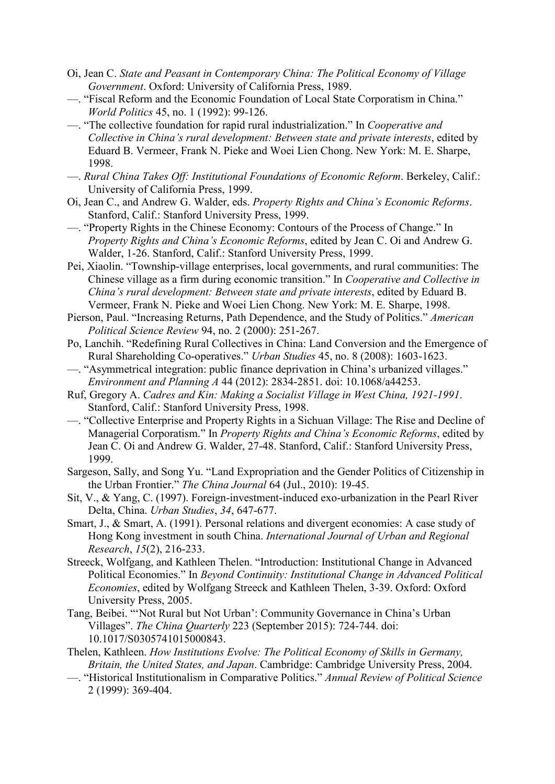- Oi, Jean C. *State and Peasant in Contemporary China: The Political Economy of Village Government*. Oxford: University of California Press, 1989.
- —. "Fiscal Reform and the Economic Foundation of Local State Corporatism in China." *World Politics* 45, no. 1 (1992): 99-126.
- —. "The collective foundation for rapid rural industrialization." In *Cooperative and Collective in China's rural development: Between state and private interests*, edited by [Eduard B. Vermeer,](https://www.google.com.hk/search?tbo=p&tbm=bks&q=inauthor:%22Eduard+B.+Vermeer%22&source=gbs_metadata_r&cad=9) [Frank N. Pieke](https://www.google.com.hk/search?tbo=p&tbm=bks&q=inauthor:%22Frank+N.+Pieke%22&source=gbs_metadata_r&cad=9) and [Woei Lien Chong.](https://www.google.com.hk/search?tbo=p&tbm=bks&q=inauthor:%22Woei+Lien+Chong%22&source=gbs_metadata_r&cad=9) New York: M. E. Sharpe, 1998.
- —. *Rural China Takes Off: Institutional Foundations of Economic Reform*. Berkeley, Calif.: University of California Press, 1999.
- Oi, Jean C., and Andrew G. Walder, eds. *Property Rights and China's Economic Reforms*. Stanford, Calif.: Stanford University Press, 1999.
- —. "Property Rights in the Chinese Economy: Contours of the Process of Change." In *Property Rights and China's Economic Reforms*, edited by Jean C. Oi and Andrew G. Walder, 1-26. Stanford, Calif.: Stanford University Press, 1999.
- Pei, Xiaolin. "Township-village enterprises, local governments, and rural communities: The Chinese village as a firm during economic transition." In *Cooperative and Collective in China's rural development: Between state and private interests*, edited by [Eduard B.](https://www.google.com.hk/search?tbo=p&tbm=bks&q=inauthor:%22Eduard+B.+Vermeer%22&source=gbs_metadata_r&cad=9)  [Vermeer,](https://www.google.com.hk/search?tbo=p&tbm=bks&q=inauthor:%22Eduard+B.+Vermeer%22&source=gbs_metadata_r&cad=9) [Frank N. Pieke](https://www.google.com.hk/search?tbo=p&tbm=bks&q=inauthor:%22Frank+N.+Pieke%22&source=gbs_metadata_r&cad=9) and [Woei Lien Chong.](https://www.google.com.hk/search?tbo=p&tbm=bks&q=inauthor:%22Woei+Lien+Chong%22&source=gbs_metadata_r&cad=9) New York: M. E. Sharpe, 1998.
- Pierson, Paul. "Increasing Returns, Path Dependence, and the Study of Politics." *American Political Science Review* 94, no. 2 (2000): 251-267.
- Po, Lanchih. "Redefining Rural Collectives in China: Land Conversion and the Emergence of Rural Shareholding Co-operatives." *Urban Studies* 45, no. 8 (2008): 1603-1623.
- —. "Asymmetrical integration: public finance deprivation in China's urbanized villages." *Environment and Planning A* 44 (2012): 2834-2851. doi: 10.1068/a44253.
- Ruf, Gregory A. *Cadres and Kin: Making a Socialist Village in West China, 1921-1991*. Stanford, Calif.: Stanford University Press, 1998.
- —. "Collective Enterprise and Property Rights in a Sichuan Village: The Rise and Decline of Managerial Corporatism." In *Property Rights and China's Economic Reforms*, edited by Jean C. Oi and Andrew G. Walder, 27-48. Stanford, Calif.: Stanford University Press, 1999.
- Sargeson, Sally, and Song Yu. "Land Expropriation and the Gender Politics of Citizenship in the Urban Frontier." *The China Journal* 64 (Jul., 2010): 19-45.
- Sit, V., & Yang, C. (1997). Foreign-investment-induced exo-urbanization in the Pearl River Delta, China. *Urban Studies*, *34*, 647-677.
- Smart, J., & Smart, A. (1991). Personal relations and divergent economies: A case study of Hong Kong investment in south China. *International Journal of Urban and Regional Research*, *15*(2), 216-233.
- Streeck, Wolfgang, and Kathleen Thelen. "Introduction: Institutional Change in Advanced Political Economies." In *Beyond Continuity: Institutional Change in Advanced Political Economies*, edited by Wolfgang Streeck and Kathleen Thelen, 3-39. Oxford: Oxford University Press, 2005.
- Tang, Beibei. "'Not Rural but Not Urban': Community Governance in China's Urban Villages". *The China Quarterly* 223 (September 2015): 724-744. doi: 10.1017/S0305741015000843.
- Thelen, Kathleen. *How Institutions Evolve: The Political Economy of Skills in Germany, Britain, the United States, and Japan*. Cambridge: Cambridge University Press, 2004.
- —. "Historical Institutionalism in Comparative Politics." *Annual Review of Political Science* 2 (1999): 369-404.